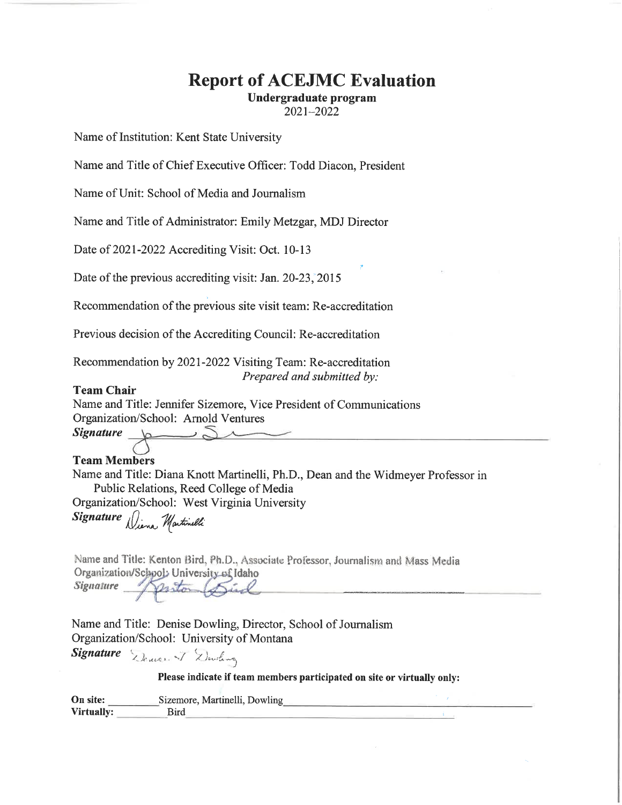# **Report of ACEJMC Evaluation**

Undergraduate program

2021-2022

Name of Institution: Kent State University

Name and Title of Chief Executive Officer: Todd Diacon, President

Name of Unit: School of Media and Journalism

Name and Title of Administrator: Emily Metzgar, MDJ Director

Date of 2021-2022 Accrediting Visit: Oct. 10-13

Date of the previous accrediting visit: Jan. 20-23, 2015

Recommendation of the previous site visit team: Re-accreditation

Previous decision of the Accrediting Council: Re-accreditation

Recommendation by 2021-2022 Visiting Team: Re-accreditation Prepared and submitted by:

#### **Team Chair**

**Signature** 

Name and Title: Jennifer Sizemore, Vice President of Communications Organization/School: Arnold Ventures

# **Team Members**

Name and Title: Diana Knott Martinelli, Ph.D., Dean and the Widmeyer Professor in Public Relations, Reed College of Media Organization/School: West Virginia University

Signature Diena Martinelli

Name and Title: Kenton Bird, Ph.D., Associate Professor, Journalism and Mass Media Organization/School: University of Idaho

**Signature** posto

Name and Title: Denise Dowling, Director, School of Journalism Organization/School: University of Montana

Signature Denver J Dowling

Please indicate if team members participated on site or virtually only:

| On site:   | Sizemore, Martinelli, Dowling |  |
|------------|-------------------------------|--|
| Virtually: | Bird                          |  |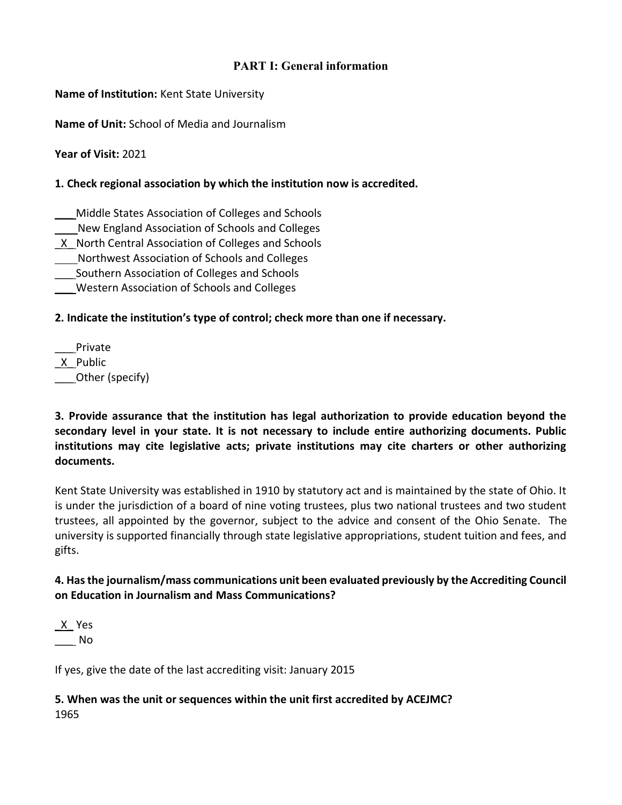# **PART I: General information**

**Name of Institution:** Kent State University

**Name of Unit:** School of Media and Journalism

**Year of Visit:** 2021

#### **1. Check regional association by which the institution now is accredited.**

- \_\_\_ Middle States Association of Colleges and Schools
- New England Association of Schools and Colleges
- \_X\_ North Central Association of Colleges and Schools
- Northwest Association of Schools and Colleges
- \_\_\_ Southern Association of Colleges and Schools
- \_\_\_ Western Association of Schools and Colleges

## **2. Indicate the institution's type of control; check more than one if necessary.**

\_\_\_ Private \_X\_ Public Other (specify)

**3. Provide assurance that the institution has legal authorization to provide education beyond the secondary level in your state. It is not necessary to include entire authorizing documents. Public institutions may cite legislative acts; private institutions may cite charters or other authorizing documents.**

Kent State University was established in 1910 by statutory act and is maintained by the state of Ohio. It is under the jurisdiction of a board of nine voting trustees, plus two national trustees and two student trustees, all appointed by the governor, subject to the advice and consent of the Ohio Senate. The university is supported financially through state legislative appropriations, student tuition and fees, and gifts.

# **4. Has the journalism/mass communications unit been evaluated previously by the Accrediting Council on Education in Journalism and Mass Communications?**

 $X$  Yes \_\_\_ No

If yes, give the date of the last accrediting visit: January 2015

**5. When was the unit or sequences within the unit first accredited by ACEJMC?**  1965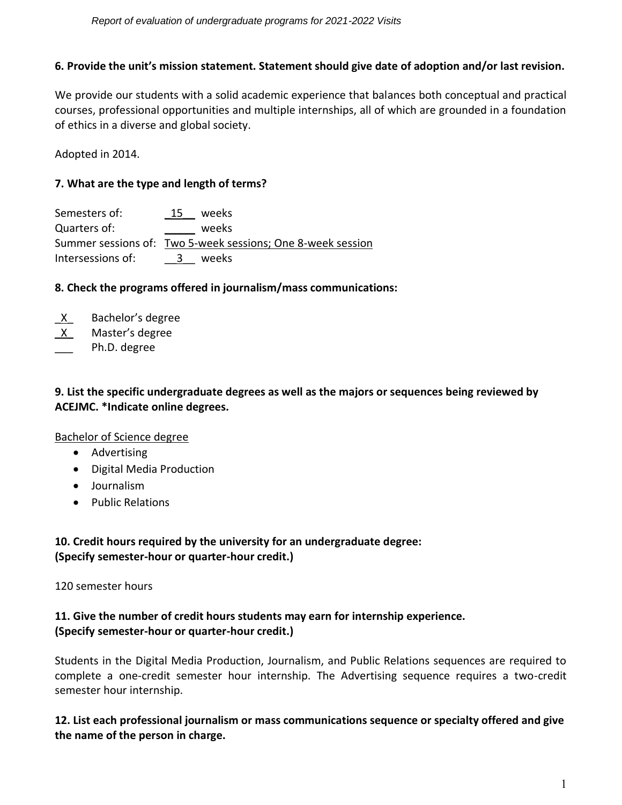#### **6. Provide the unit's mission statement. Statement should give date of adoption and/or last revision.**

We provide our students with a solid academic experience that balances both conceptual and practical courses, professional opportunities and multiple internships, all of which are grounded in a foundation of ethics in a diverse and global society.

Adopted in 2014.

#### **7. What are the type and length of terms?**

| Semesters of:     | 15  | weeks                                                       |  |
|-------------------|-----|-------------------------------------------------------------|--|
| Quarters of:      |     | weeks                                                       |  |
|                   |     | Summer sessions of: Two 5-week sessions; One 8-week session |  |
| Intersessions of: | -3- | weeks                                                       |  |

#### **8. Check the programs offered in journalism/mass communications:**

- $X$  Bachelor's degree
- \_X\_ Master's degree
- Ph.D. degree

# **9. List the specific undergraduate degrees as well as the majors or sequences being reviewed by ACEJMC. \*Indicate online degrees.**

#### Bachelor of Science degree

- Advertising
- Digital Media Production
- Journalism
- Public Relations

# **10. Credit hours required by the university for an undergraduate degree: (Specify semester-hour or quarter-hour credit.)**

#### 120 semester hours

# **11. Give the number of credit hours students may earn for internship experience. (Specify semester-hour or quarter-hour credit.)**

Students in the Digital Media Production, Journalism, and Public Relations sequences are required to complete a one-credit semester hour internship. The Advertising sequence requires a two-credit semester hour internship.

**12. List each professional journalism or mass communications sequence or specialty offered and give the name of the person in charge.**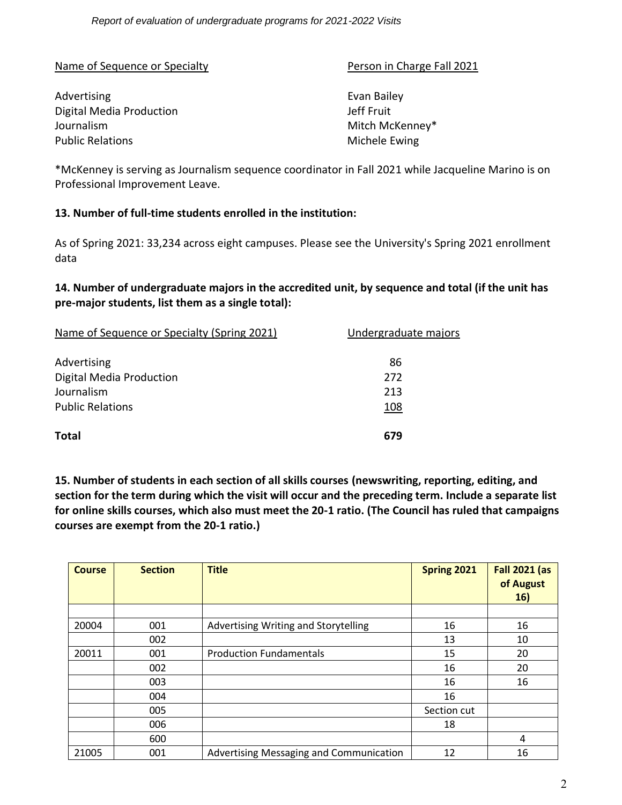Name of Sequence or Specialty **Person in Charge Fall 2021** 

# Advertising **Evan Bailey** Digital Media Production **Digital Media Production** Journalism **Mitch McKenney\*** Mitch McKenney\* Public Relations **Michele Ewing**

\*McKenney is serving as Journalism sequence coordinator in Fall 2021 while Jacqueline Marino is on Professional Improvement Leave.

## **13. Number of full-time students enrolled in the institution:**

As of Spring 2021: 33,234 across eight campuses. Please see the [University's Spring 2021 enrollment](https://www.kent.edu/ir/8-campus-system-spring-2021-0)  [data](https://www.kent.edu/ir/8-campus-system-spring-2021-0) 

# **14. Number of undergraduate majors in the accredited unit, by sequence and total (if the unit has pre-major students, list them as a single total):**

| Name of Sequence or Specialty (Spring 2021) | Undergraduate majors |
|---------------------------------------------|----------------------|
| Advertising                                 | 86                   |
| Digital Media Production                    | 272                  |
| Journalism                                  | 213                  |
| <b>Public Relations</b>                     | 108                  |
| <b>Total</b>                                | 679                  |

**15. Number of students in each section of all skills courses (newswriting, reporting, editing, and section for the term during which the visit will occur and the preceding term. Include a separate list for online skills courses, which also must meet the 20-1 ratio. (The Council has ruled that campaigns courses are exempt from the 20-1 ratio.)**

| <b>Course</b> | <b>Section</b> | <b>Title</b>                            | Spring 2021 | <b>Fall 2021 (as</b><br>of August<br>16) |
|---------------|----------------|-----------------------------------------|-------------|------------------------------------------|
|               |                |                                         |             |                                          |
| 20004         | 001            | Advertising Writing and Storytelling    | 16          | 16                                       |
|               | 002            |                                         | 13          | 10                                       |
| 20011         | 001            | <b>Production Fundamentals</b>          | 15          | 20                                       |
|               | 002            |                                         | 16          | 20                                       |
|               | 003            |                                         | 16          | 16                                       |
|               | 004            |                                         | 16          |                                          |
|               | 005            |                                         | Section cut |                                          |
|               | 006            |                                         | 18          |                                          |
|               | 600            |                                         |             | 4                                        |
| 21005         | 001            | Advertising Messaging and Communication | 12          | 16                                       |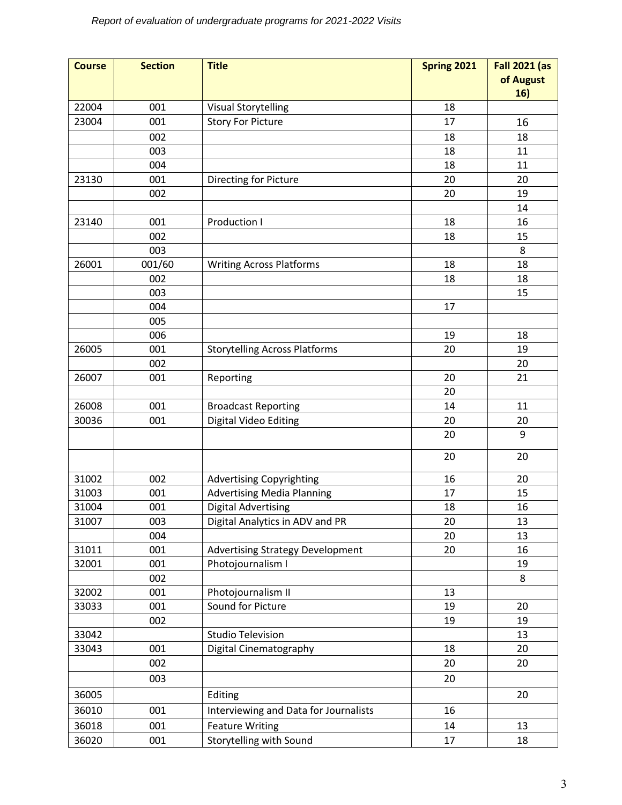| <b>Course</b> | <b>Section</b> | <b>Title</b>                            | Spring 2021 | <b>Fall 2021 (as</b> |
|---------------|----------------|-----------------------------------------|-------------|----------------------|
|               |                |                                         |             | of August<br>16)     |
| 22004         | 001            | <b>Visual Storytelling</b>              | 18          |                      |
| 23004         | 001            | <b>Story For Picture</b>                | 17          | 16                   |
|               | 002            |                                         | 18          | 18                   |
|               | 003            |                                         | 18          | 11                   |
|               | 004            |                                         | 18          | 11                   |
| 23130         | 001            | Directing for Picture                   | 20          | 20                   |
|               | 002            |                                         | 20          | 19                   |
|               |                |                                         |             | 14                   |
| 23140         | 001            | Production I                            | 18          | 16                   |
|               | 002            |                                         | 18          | 15                   |
|               | 003            |                                         |             | 8                    |
| 26001         | 001/60         | <b>Writing Across Platforms</b>         | 18          | 18                   |
|               | 002            |                                         | 18          | 18                   |
|               | 003            |                                         |             | 15                   |
|               | 004            |                                         | 17          |                      |
|               | 005            |                                         |             |                      |
|               | 006            |                                         | 19          | 18                   |
| 26005         | 001            | <b>Storytelling Across Platforms</b>    | 20          | 19                   |
|               | 002            |                                         |             | 20                   |
| 26007         | 001            | Reporting                               | 20          | 21                   |
|               |                |                                         | 20          |                      |
| 26008         | 001            | <b>Broadcast Reporting</b>              | 14          | 11                   |
| 30036         | 001            | Digital Video Editing                   | 20          | 20                   |
|               |                |                                         | 20          | 9                    |
|               |                |                                         | 20          | 20                   |
| 31002         | 002            | <b>Advertising Copyrighting</b>         | 16          | 20                   |
| 31003         | 001            | <b>Advertising Media Planning</b>       | 17          | 15                   |
| 31004         | 001            | <b>Digital Advertising</b>              | 18          | 16                   |
| 31007         | 003            | Digital Analytics in ADV and PR         | 20          | 13                   |
|               | 004            |                                         | 20          | 13                   |
| 31011         | 001            | <b>Advertising Strategy Development</b> | 20          | 16                   |
| 32001         | 001            | Photojournalism I                       |             | 19                   |
|               | 002            |                                         |             | 8                    |
| 32002         | 001            | Photojournalism II                      | 13          |                      |
| 33033         | 001            | Sound for Picture                       | 19          | 20                   |
|               | 002            |                                         | 19          | 19                   |
| 33042         |                | <b>Studio Television</b>                |             | 13                   |
| 33043         | 001            | Digital Cinematography                  | 18          | 20                   |
|               | 002            |                                         | 20          | 20                   |
|               | 003            |                                         | 20          |                      |
| 36005         |                | Editing                                 |             | 20                   |
| 36010         | 001            | Interviewing and Data for Journalists   | 16          |                      |
| 36018         | 001            | <b>Feature Writing</b>                  | 14          | 13                   |
| 36020         | 001            | Storytelling with Sound                 | 17          | 18                   |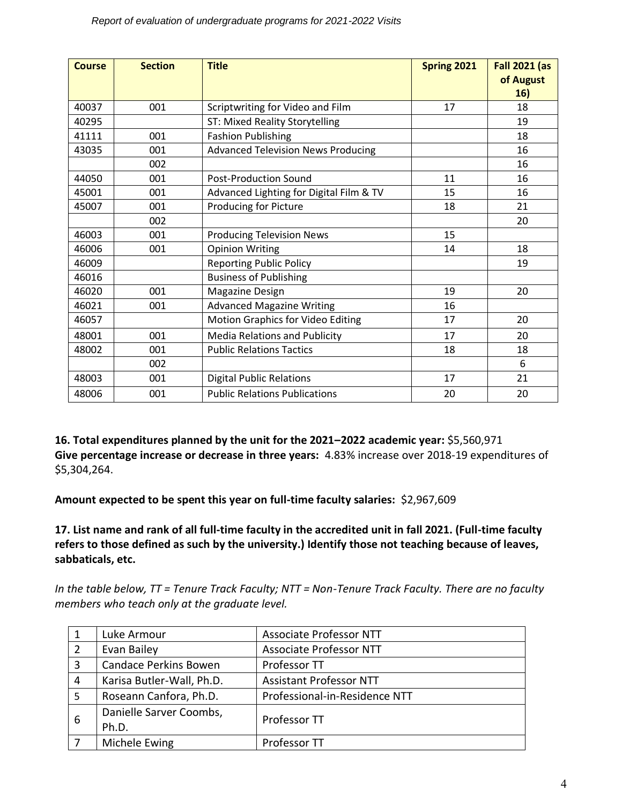| <b>Course</b> | <b>Section</b> | <b>Title</b>                              | <b>Spring 2021</b> | <b>Fall 2021 (as</b> |
|---------------|----------------|-------------------------------------------|--------------------|----------------------|
|               |                |                                           |                    | of August            |
|               |                |                                           |                    | 16)                  |
| 40037         | 001            | Scriptwriting for Video and Film          | 17                 | 18                   |
| 40295         |                | ST: Mixed Reality Storytelling            |                    | 19                   |
| 41111         | 001            | <b>Fashion Publishing</b>                 |                    | 18                   |
| 43035         | 001            | <b>Advanced Television News Producing</b> |                    | 16                   |
|               | 002            |                                           |                    | 16                   |
| 44050         | 001            | <b>Post-Production Sound</b>              | 11                 | 16                   |
| 45001         | 001            | Advanced Lighting for Digital Film & TV   | 15                 | 16                   |
| 45007         | 001            | Producing for Picture                     | 18                 | 21                   |
|               | 002            |                                           |                    | 20                   |
| 46003         | 001            | <b>Producing Television News</b>          | 15                 |                      |
| 46006         | 001            | <b>Opinion Writing</b>                    | 14                 | 18                   |
| 46009         |                | <b>Reporting Public Policy</b>            |                    | 19                   |
| 46016         |                | <b>Business of Publishing</b>             |                    |                      |
| 46020         | 001            | Magazine Design                           | 19                 | 20                   |
| 46021         | 001            | <b>Advanced Magazine Writing</b>          | 16                 |                      |
| 46057         |                | Motion Graphics for Video Editing         | 17                 | 20                   |
| 48001         | 001            | <b>Media Relations and Publicity</b>      | 17                 | 20                   |
| 48002         | 001            | <b>Public Relations Tactics</b>           | 18                 | 18                   |
|               | 002            |                                           |                    | 6                    |
| 48003         | 001            | <b>Digital Public Relations</b>           | 17                 | 21                   |
| 48006         | 001            | <b>Public Relations Publications</b>      | 20                 | 20                   |

**16. Total expenditures planned by the unit for the 2021–2022 academic year:** \$5,560,971 **Give percentage increase or decrease in three years:** 4.83% increase over 2018-19 expenditures of \$5,304,264.

**Amount expected to be spent this year on full-time faculty salaries:** \$2,967,609

**17. List name and rank of all full-time faculty in the accredited unit in fall 2021. (Full-time faculty refers to those defined as such by the university.) Identify those not teaching because of leaves, sabbaticals, etc.**

*In the table below, TT = Tenure Track Faculty; NTT = Non-Tenure Track Faculty. There are no faculty members who teach only at the graduate level.*

|   | Luke Armour                  | <b>Associate Professor NTT</b> |  |  |
|---|------------------------------|--------------------------------|--|--|
|   | Evan Bailey                  | <b>Associate Professor NTT</b> |  |  |
|   | <b>Candace Perkins Bowen</b> | Professor TT                   |  |  |
| 4 | Karisa Butler-Wall, Ph.D.    | <b>Assistant Professor NTT</b> |  |  |
| 5 | Roseann Canfora, Ph.D.       | Professional-in-Residence NTT  |  |  |
|   | Danielle Sarver Coombs,      | Professor TT                   |  |  |
| 6 | Ph.D.                        |                                |  |  |
|   | Michele Ewing                | Professor TT                   |  |  |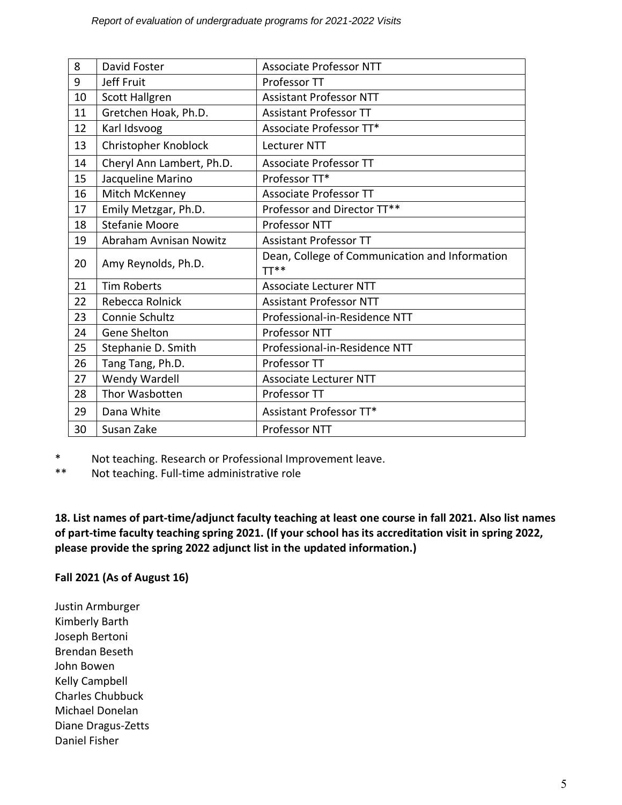| 8  | David Foster              | <b>Associate Professor NTT</b>                           |
|----|---------------------------|----------------------------------------------------------|
| 9  | Jeff Fruit                | Professor TT                                             |
| 10 | <b>Scott Hallgren</b>     | <b>Assistant Professor NTT</b>                           |
| 11 | Gretchen Hoak, Ph.D.      | <b>Assistant Professor TT</b>                            |
| 12 | Karl Idsvoog              | Associate Professor TT*                                  |
| 13 | Christopher Knoblock      | <b>Lecturer NTT</b>                                      |
| 14 | Cheryl Ann Lambert, Ph.D. | <b>Associate Professor TT</b>                            |
| 15 | Jacqueline Marino         | Professor TT*                                            |
| 16 | Mitch McKenney            | <b>Associate Professor TT</b>                            |
| 17 | Emily Metzgar, Ph.D.      | Professor and Director TT**                              |
| 18 | <b>Stefanie Moore</b>     | Professor NTT                                            |
| 19 | Abraham Avnisan Nowitz    | <b>Assistant Professor TT</b>                            |
| 20 | Amy Reynolds, Ph.D.       | Dean, College of Communication and Information<br>$TT**$ |
| 21 | <b>Tim Roberts</b>        | <b>Associate Lecturer NTT</b>                            |
| 22 | Rebecca Rolnick           | <b>Assistant Professor NTT</b>                           |
| 23 | Connie Schultz            | Professional-in-Residence NTT                            |
| 24 | Gene Shelton              | Professor NTT                                            |
| 25 | Stephanie D. Smith        | Professional-in-Residence NTT                            |
| 26 | Tang Tang, Ph.D.          | Professor TT                                             |
| 27 | Wendy Wardell             | <b>Associate Lecturer NTT</b>                            |
| 28 | Thor Wasbotten            | Professor TT                                             |
| 29 | Dana White                | Assistant Professor TT*                                  |
| 30 | Susan Zake                | Professor NTT                                            |

\* Not teaching. Research or Professional Improvement leave.

\*\* Not teaching. Full-time administrative role

**18. List names of part-time/adjunct faculty teaching at least one course in fall 2021. Also list names of part-time faculty teaching spring 2021. (If your school has its accreditation visit in spring 2022, please provide the spring 2022 adjunct list in the updated information.)** 

## **Fall 2021 (As of August 16)**

Justin Armburger Kimberly Barth Joseph Bertoni Brendan Beseth John Bowen Kelly Campbell Charles Chubbuck Michael Donelan Diane Dragus-Zetts Daniel Fisher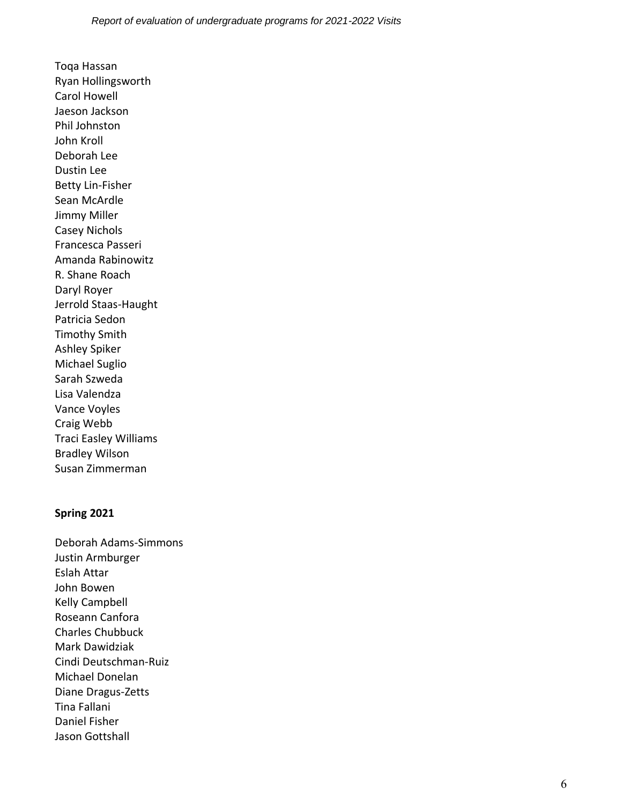Toqa Hassan Ryan Hollingsworth Carol Howell Jaeson Jackson Phil Johnston John Kroll Deborah Lee Dustin Lee Betty Lin-Fisher Sean McArdle Jimmy Miller Casey Nichols Francesca Passeri Amanda Rabinowitz R. Shane Roach Daryl Royer Jerrold Staas-Haught Patricia Sedon Timothy Smith Ashley Spiker Michael Suglio Sarah Szweda Lisa Valendza Vance Voyles Craig Webb Traci Easley Williams Bradley Wilson Susan Zimmerman

#### **Spring 2021**

Deborah Adams-Simmons Justin Armburger Eslah Attar John Bowen Kelly Campbell Roseann Canfora Charles Chubbuck Mark Dawidziak Cindi Deutschman-Ruiz Michael Donelan Diane Dragus-Zetts Tina Fallani Daniel Fisher Jason Gottshall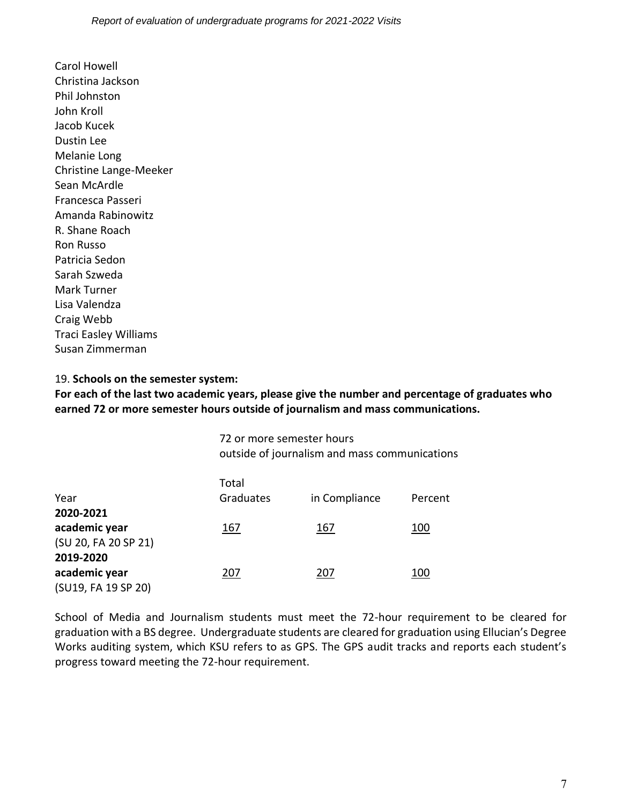Carol Howell Christina Jackson Phil Johnston John Kroll Jacob Kucek Dustin Lee Melanie Long Christine Lange-Meeker Sean McArdle Francesca Passeri Amanda Rabinowitz R. Shane Roach Ron Russo Patricia Sedon Sarah Szweda Mark Turner Lisa Valendza Craig Webb Traci Easley Williams Susan Zimmerman

#### 19. **Schools on the semester system:**

**For each of the last two academic years, please give the number and percentage of graduates who earned 72 or more semester hours outside of journalism and mass communications.**

> 72 or more semester hours outside of journalism and mass communications

| Year<br>2020-2021                                 | Total<br>Graduates | in Compliance | Percent |
|---------------------------------------------------|--------------------|---------------|---------|
| academic year<br>(SU 20, FA 20 SP 21)             | 167                | 167           | 100     |
| 2019-2020<br>academic year<br>(SU19, FA 19 SP 20) | 207                | 207           | 100     |

School of Media and Journalism students must meet the 72-hour requirement to be cleared for graduation with a BS degree. Undergraduate students are cleared for graduation using Ellucian's Degree Works auditing system, which KSU refers to as GPS. The GPS audit tracks and reports each student's progress toward meeting the 72-hour requirement.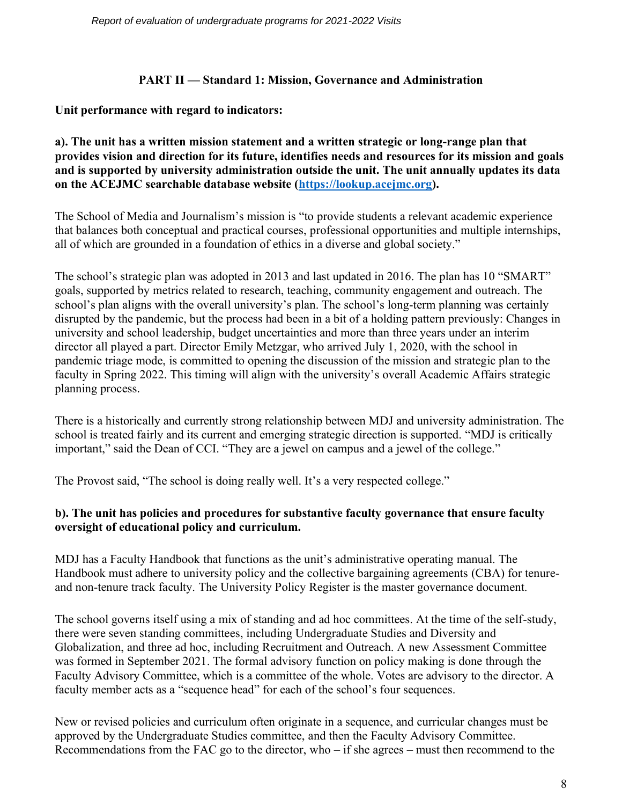#### **PART II — Standard 1: Mission, Governance and Administration**

## **Unit performance with regard to indicators:**

**a). The unit has a written mission statement and a written strategic or long-range plan that provides vision and direction for its future, identifies needs and resources for its mission and goals and is supported by university administration outside the unit. The unit annually updates its data on the ACEJMC searchable database website [\(https://lookup.acejmc.org\)](https://lookup.acejmc.org/).**

The School of Media and Journalism's mission is "to provide students a relevant academic experience that balances both conceptual and practical courses, professional opportunities and multiple internships, all of which are grounded in a foundation of ethics in a diverse and global society."

The school's strategic plan was adopted in 2013 and last updated in 2016. The plan has 10 "SMART" goals, supported by metrics related to research, teaching, community engagement and outreach. The school's plan aligns with the overall university's plan. The school's long-term planning was certainly disrupted by the pandemic, but the process had been in a bit of a holding pattern previously: Changes in university and school leadership, budget uncertainties and more than three years under an interim director all played a part. Director Emily Metzgar, who arrived July 1, 2020, with the school in pandemic triage mode, is committed to opening the discussion of the mission and strategic plan to the faculty in Spring 2022. This timing will align with the university's overall Academic Affairs strategic planning process.

There is a historically and currently strong relationship between MDJ and university administration. The school is treated fairly and its current and emerging strategic direction is supported. "MDJ is critically important," said the Dean of CCI. "They are a jewel on campus and a jewel of the college."

The Provost said, "The school is doing really well. It's a very respected college."

# **b). The unit has policies and procedures for substantive faculty governance that ensure faculty oversight of educational policy and curriculum.**

MDJ has a Faculty Handbook that functions as the unit's administrative operating manual. The Handbook must adhere to university policy and the collective bargaining agreements (CBA) for tenureand non-tenure track faculty. The University Policy Register is the master governance document.

The school governs itself using a mix of standing and ad hoc committees. At the time of the self-study, there were seven standing committees, including Undergraduate Studies and Diversity and Globalization, and three ad hoc, including Recruitment and Outreach. A new Assessment Committee was formed in September 2021. The formal advisory function on policy making is done through the Faculty Advisory Committee, which is a committee of the whole. Votes are advisory to the director. A faculty member acts as a "sequence head" for each of the school's four sequences.

New or revised policies and curriculum often originate in a sequence, and curricular changes must be approved by the Undergraduate Studies committee, and then the Faculty Advisory Committee. Recommendations from the FAC go to the director, who – if she agrees – must then recommend to the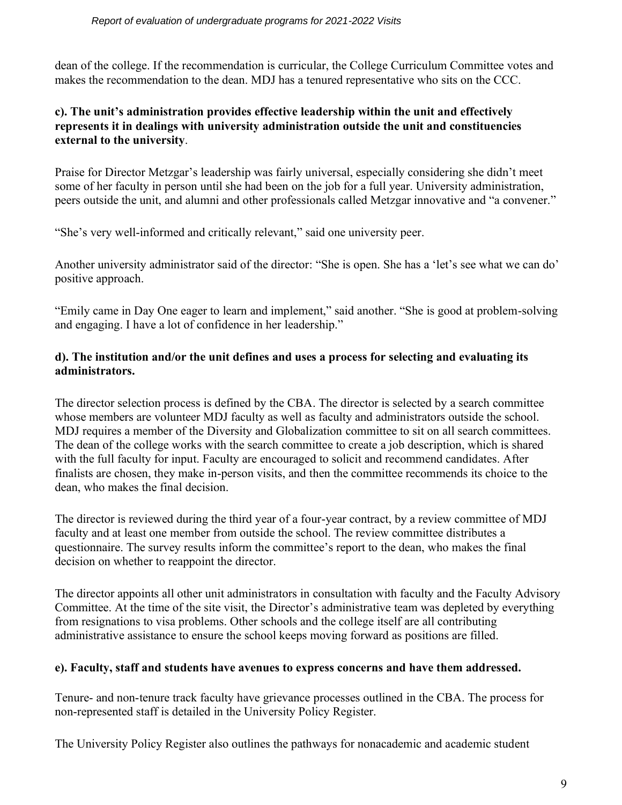dean of the college. If the recommendation is curricular, the College Curriculum Committee votes and makes the recommendation to the dean. MDJ has a tenured representative who sits on the CCC.

# **c). The unit's administration provides effective leadership within the unit and effectively represents it in dealings with university administration outside the unit and constituencies external to the university**.

Praise for Director Metzgar's leadership was fairly universal, especially considering she didn't meet some of her faculty in person until she had been on the job for a full year. University administration, peers outside the unit, and alumni and other professionals called Metzgar innovative and "a convener."

"She's very well-informed and critically relevant," said one university peer.

Another university administrator said of the director: "She is open. She has a 'let's see what we can do' positive approach.

"Emily came in Day One eager to learn and implement," said another. "She is good at problem-solving and engaging. I have a lot of confidence in her leadership."

## **d). The institution and/or the unit defines and uses a process for selecting and evaluating its administrators.**

The director selection process is defined by the CBA. The director is selected by a search committee whose members are volunteer MDJ faculty as well as faculty and administrators outside the school. MDJ requires a member of the Diversity and Globalization committee to sit on all search committees. The dean of the college works with the search committee to create a job description, which is shared with the full faculty for input. Faculty are encouraged to solicit and recommend candidates. After finalists are chosen, they make in-person visits, and then the committee recommends its choice to the dean, who makes the final decision.

The director is reviewed during the third year of a four-year contract, by a review committee of MDJ faculty and at least one member from outside the school. The review committee distributes a questionnaire. The survey results inform the committee's report to the dean, who makes the final decision on whether to reappoint the director.

The director appoints all other unit administrators in consultation with faculty and the Faculty Advisory Committee. At the time of the site visit, the Director's administrative team was depleted by everything from resignations to visa problems. Other schools and the college itself are all contributing administrative assistance to ensure the school keeps moving forward as positions are filled.

## **e). Faculty, staff and students have avenues to express concerns and have them addressed.**

Tenure- and non-tenure track faculty have grievance processes outlined in the CBA. The process for non-represented staff is detailed in the University Policy Register.

The University Policy Register also outlines the pathways for nonacademic and academic student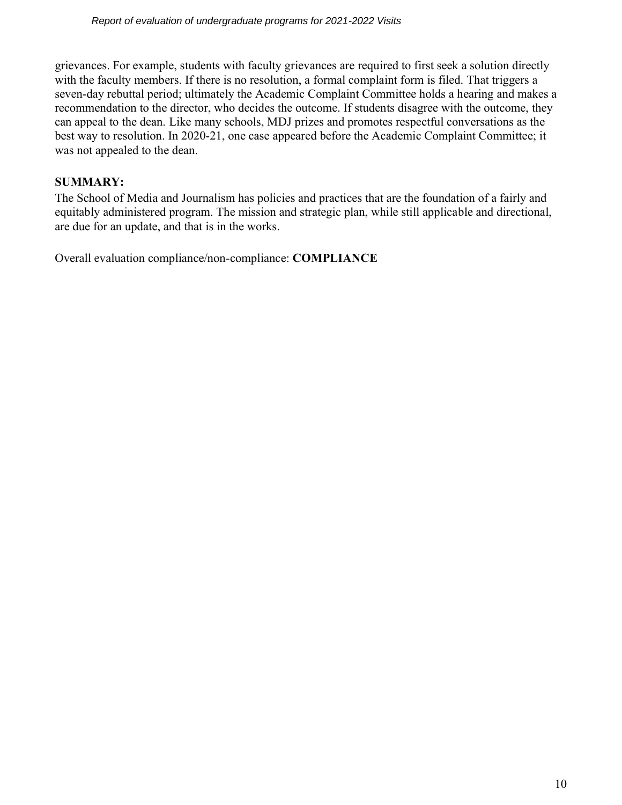grievances. For example, students with faculty grievances are required to first seek a solution directly with the faculty members. If there is no resolution, a formal complaint form is filed. That triggers a seven-day rebuttal period; ultimately the Academic Complaint Committee holds a hearing and makes a recommendation to the director, who decides the outcome. If students disagree with the outcome, they can appeal to the dean. Like many schools, MDJ prizes and promotes respectful conversations as the best way to resolution. In 2020-21, one case appeared before the Academic Complaint Committee; it was not appealed to the dean.

# **SUMMARY:**

The School of Media and Journalism has policies and practices that are the foundation of a fairly and equitably administered program. The mission and strategic plan, while still applicable and directional, are due for an update, and that is in the works.

Overall evaluation compliance/non-compliance: **COMPLIANCE**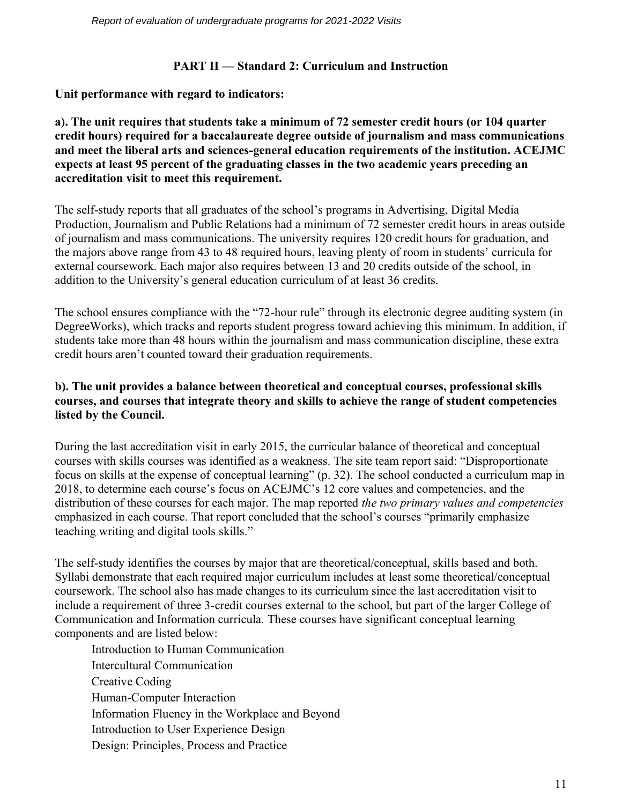# **PART II — Standard 2: Curriculum and Instruction**

**Unit performance with regard to indicators:**

**a). The unit requires that students take a minimum of 72 semester credit hours (or 104 quarter credit hours) required for a baccalaureate degree outside of journalism and mass communications and meet the liberal arts and sciences-general education requirements of the institution. ACEJMC expects at least 95 percent of the graduating classes in the two academic years preceding an accreditation visit to meet this requirement.**

The self-study reports that all graduates of the school's programs in Advertising, Digital Media Production, Journalism and Public Relations had a minimum of 72 semester credit hours in areas outside of journalism and mass communications. The university requires 120 credit hours for graduation, and the majors above range from 43 to 48 required hours, leaving plenty of room in students' curricula for external coursework. Each major also requires between 13 and 20 credits outside of the school, in addition to the University's general education curriculum of at least 36 credits.

The school ensures compliance with the "72-hour rule" through its electronic degree auditing system (in DegreeWorks), which tracks and reports student progress toward achieving this minimum. In addition, if students take more than 48 hours within the journalism and mass communication discipline, these extra credit hours aren't counted toward their graduation requirements.

# **b). The unit provides a balance between theoretical and conceptual courses, professional skills courses, and courses that integrate theory and skills to achieve the range of student competencies listed by the Council.**

During the last accreditation visit in early 2015, the curricular balance of theoretical and conceptual courses with skills courses was identified as a weakness. The site team report said: "Disproportionate focus on skills at the expense of conceptual learning" (p. 32). The school conducted a curriculum map in 2018, to determine each course's focus on ACEJMC's 12 core values and competencies, and the distribution of these courses for each major. The map reported *the two primary values and competencies* emphasized in each course. That report concluded that the school's courses "primarily emphasize teaching writing and digital tools skills."

The self-study identifies the courses by major that are theoretical/conceptual, skills based and both. Syllabi demonstrate that each required major curriculum includes at least some theoretical/conceptual coursework. The school also has made changes to its curriculum since the last accreditation visit to include a requirement of three 3-credit courses external to the school, but part of the larger College of Communication and Information curricula. These courses have significant conceptual learning components and are listed below:

Introduction to Human Communication Intercultural Communication Creative Coding Human-Computer Interaction Information Fluency in the Workplace and Beyond Introduction to User Experience Design Design: Principles, Process and Practice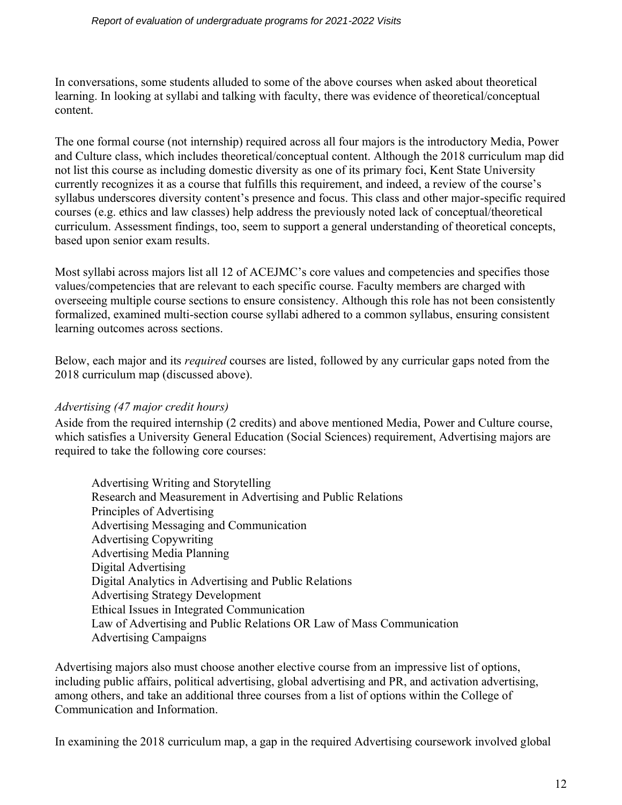#### *Report of evaluation of undergraduate programs for 2021-2022 Visits*

In conversations, some students alluded to some of the above courses when asked about theoretical learning. In looking at syllabi and talking with faculty, there was evidence of theoretical/conceptual content.

The one formal course (not internship) required across all four majors is the introductory Media, Power and Culture class, which includes theoretical/conceptual content. Although the 2018 curriculum map did not list this course as including domestic diversity as one of its primary foci, Kent State University currently recognizes it as a course that fulfills this requirement, and indeed, a review of the course's syllabus underscores diversity content's presence and focus. This class and other major-specific required courses (e.g. ethics and law classes) help address the previously noted lack of conceptual/theoretical curriculum. Assessment findings, too, seem to support a general understanding of theoretical concepts, based upon senior exam results.

Most syllabi across majors list all 12 of ACEJMC's core values and competencies and specifies those values/competencies that are relevant to each specific course. Faculty members are charged with overseeing multiple course sections to ensure consistency. Although this role has not been consistently formalized, examined multi-section course syllabi adhered to a common syllabus, ensuring consistent learning outcomes across sections.

Below, each major and its *required* courses are listed, followed by any curricular gaps noted from the 2018 curriculum map (discussed above).

#### *Advertising (47 major credit hours)*

Aside from the required internship (2 credits) and above mentioned Media, Power and Culture course, which satisfies a University General Education (Social Sciences) requirement, Advertising majors are required to take the following core courses:

Advertising Writing and Storytelling Research and Measurement in Advertising and Public Relations Principles of Advertising Advertising Messaging and Communication Advertising Copywriting Advertising Media Planning Digital Advertising Digital Analytics in Advertising and Public Relations Advertising Strategy Development Ethical Issues in Integrated Communication Law of Advertising and Public Relations OR Law of Mass Communication Advertising Campaigns

Advertising majors also must choose another elective course from an impressive list of options, including public affairs, political advertising, global advertising and PR, and activation advertising, among others, and take an additional three courses from a list of options within the College of Communication and Information.

In examining the 2018 curriculum map, a gap in the required Advertising coursework involved global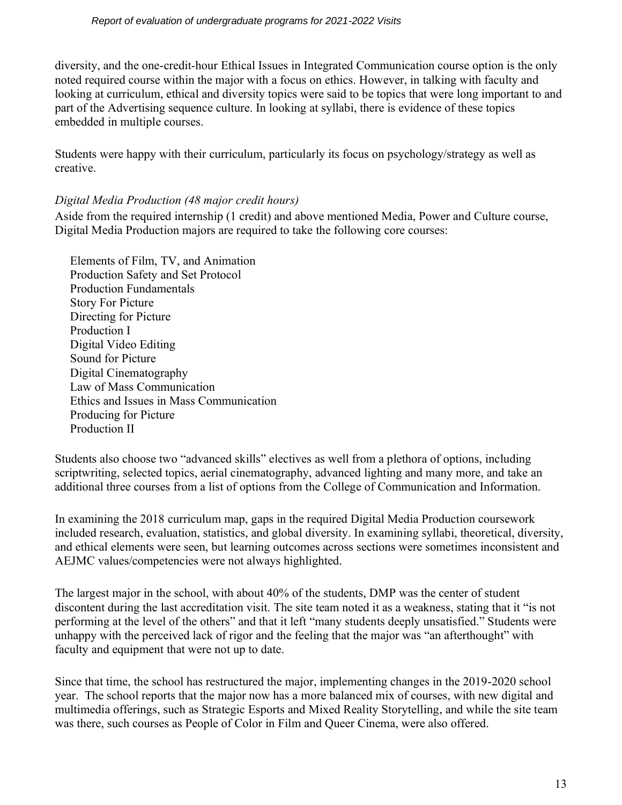diversity, and the one-credit-hour Ethical Issues in Integrated Communication course option is the only noted required course within the major with a focus on ethics. However, in talking with faculty and looking at curriculum, ethical and diversity topics were said to be topics that were long important to and part of the Advertising sequence culture. In looking at syllabi, there is evidence of these topics embedded in multiple courses.

Students were happy with their curriculum, particularly its focus on psychology/strategy as well as creative.

## *Digital Media Production (48 major credit hours)*

Aside from the required internship (1 credit) and above mentioned Media, Power and Culture course, Digital Media Production majors are required to take the following core courses:

 Elements of Film, TV, and Animation Production Safety and Set Protocol Production Fundamentals Story For Picture Directing for Picture Production I Digital Video Editing Sound for Picture Digital Cinematography Law of Mass Communication Ethics and Issues in Mass Communication Producing for Picture Production II

Students also choose two "advanced skills" electives as well from a plethora of options, including scriptwriting, selected topics, aerial cinematography, advanced lighting and many more, and take an additional three courses from a list of options from the College of Communication and Information.

In examining the 2018 curriculum map, gaps in the required Digital Media Production coursework included research, evaluation, statistics, and global diversity. In examining syllabi, theoretical, diversity, and ethical elements were seen, but learning outcomes across sections were sometimes inconsistent and AEJMC values/competencies were not always highlighted.

The largest major in the school, with about 40% of the students, DMP was the center of student discontent during the last accreditation visit. The site team noted it as a weakness, stating that it "is not performing at the level of the others" and that it left "many students deeply unsatisfied." Students were unhappy with the perceived lack of rigor and the feeling that the major was "an afterthought" with faculty and equipment that were not up to date.

Since that time, the school has restructured the major, implementing changes in the 2019-2020 school year. The school reports that the major now has a more balanced mix of courses, with new digital and multimedia offerings, such as Strategic Esports and Mixed Reality Storytelling, and while the site team was there, such courses as People of Color in Film and Queer Cinema, were also offered.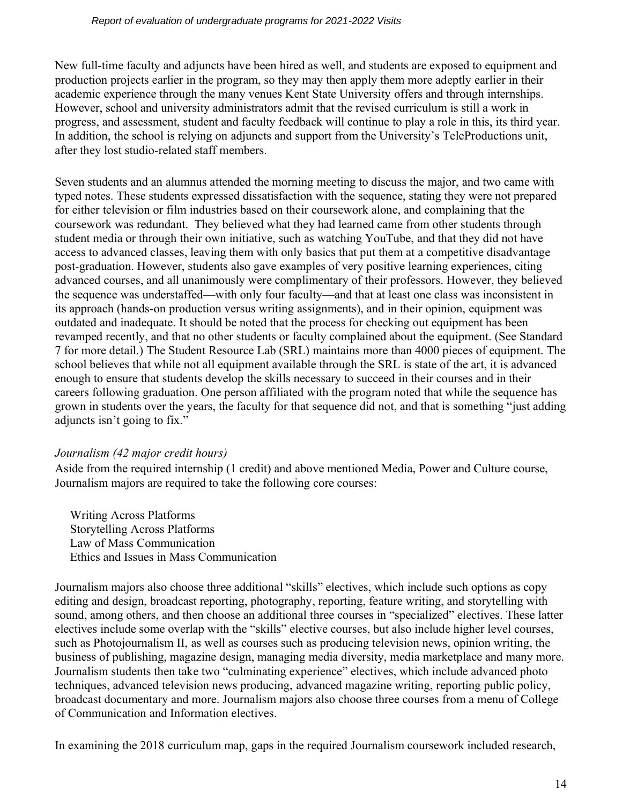New full-time faculty and adjuncts have been hired as well, and students are exposed to equipment and production projects earlier in the program, so they may then apply them more adeptly earlier in their academic experience through the many venues Kent State University offers and through internships. However, school and university administrators admit that the revised curriculum is still a work in progress, and assessment, student and faculty feedback will continue to play a role in this, its third year. In addition, the school is relying on adjuncts and support from the University's TeleProductions unit, after they lost studio-related staff members.

Seven students and an alumnus attended the morning meeting to discuss the major, and two came with typed notes. These students expressed dissatisfaction with the sequence, stating they were not prepared for either television or film industries based on their coursework alone, and complaining that the coursework was redundant. They believed what they had learned came from other students through student media or through their own initiative, such as watching YouTube, and that they did not have access to advanced classes, leaving them with only basics that put them at a competitive disadvantage post-graduation. However, students also gave examples of very positive learning experiences, citing advanced courses, and all unanimously were complimentary of their professors. However, they believed the sequence was understaffed—with only four faculty—and that at least one class was inconsistent in its approach (hands-on production versus writing assignments), and in their opinion, equipment was outdated and inadequate. It should be noted that the process for checking out equipment has been revamped recently, and that no other students or faculty complained about the equipment. (See Standard 7 for more detail.) The Student Resource Lab (SRL) maintains more than 4000 pieces of equipment. The school believes that while not all equipment available through the SRL is state of the art, it is advanced enough to ensure that students develop the skills necessary to succeed in their courses and in their careers following graduation. One person affiliated with the program noted that while the sequence has grown in students over the years, the faculty for that sequence did not, and that is something "just adding adjuncts isn't going to fix."

## *Journalism (42 major credit hours)*

Aside from the required internship (1 credit) and above mentioned Media, Power and Culture course, Journalism majors are required to take the following core courses:

 Writing Across Platforms Storytelling Across Platforms Law of Mass Communication Ethics and Issues in Mass Communication

Journalism majors also choose three additional "skills" electives, which include such options as copy editing and design, broadcast reporting, photography, reporting, feature writing, and storytelling with sound, among others, and then choose an additional three courses in "specialized" electives. These latter electives include some overlap with the "skills" elective courses, but also include higher level courses, such as Photojournalism II, as well as courses such as producing television news, opinion writing, the business of publishing, magazine design, managing media diversity, media marketplace and many more. Journalism students then take two "culminating experience" electives, which include advanced photo techniques, advanced television news producing, advanced magazine writing, reporting public policy, broadcast documentary and more. Journalism majors also choose three courses from a menu of College of Communication and Information electives.

In examining the 2018 curriculum map, gaps in the required Journalism coursework included research,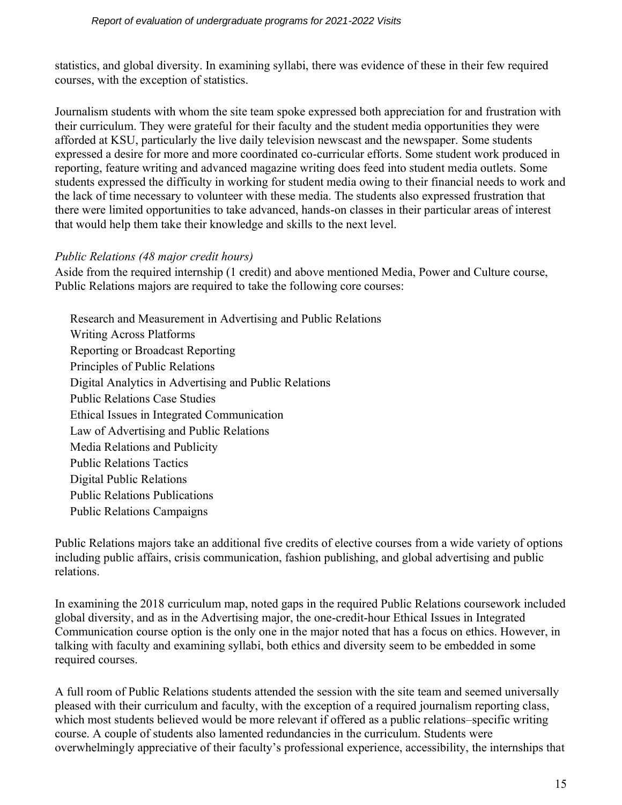statistics, and global diversity. In examining syllabi, there was evidence of these in their few required courses, with the exception of statistics.

Journalism students with whom the site team spoke expressed both appreciation for and frustration with their curriculum. They were grateful for their faculty and the student media opportunities they were afforded at KSU, particularly the live daily television newscast and the newspaper. Some students expressed a desire for more and more coordinated co-curricular efforts. Some student work produced in reporting, feature writing and advanced magazine writing does feed into student media outlets. Some students expressed the difficulty in working for student media owing to their financial needs to work and the lack of time necessary to volunteer with these media. The students also expressed frustration that there were limited opportunities to take advanced, hands-on classes in their particular areas of interest that would help them take their knowledge and skills to the next level.

# *Public Relations (48 major credit hours)*

Aside from the required internship (1 credit) and above mentioned Media, Power and Culture course, Public Relations majors are required to take the following core courses:

 Research and Measurement in Advertising and Public Relations Writing Across Platforms Reporting or Broadcast Reporting Principles of Public Relations Digital Analytics in Advertising and Public Relations Public Relations Case Studies Ethical Issues in Integrated Communication Law of Advertising and Public Relations Media Relations and Publicity Public Relations Tactics Digital Public Relations Public Relations Publications Public Relations Campaigns

Public Relations majors take an additional five credits of elective courses from a wide variety of options including public affairs, crisis communication, fashion publishing, and global advertising and public relations.

In examining the 2018 curriculum map, noted gaps in the required Public Relations coursework included global diversity, and as in the Advertising major, the one-credit-hour Ethical Issues in Integrated Communication course option is the only one in the major noted that has a focus on ethics. However, in talking with faculty and examining syllabi, both ethics and diversity seem to be embedded in some required courses.

A full room of Public Relations students attended the session with the site team and seemed universally pleased with their curriculum and faculty, with the exception of a required journalism reporting class, which most students believed would be more relevant if offered as a public relations–specific writing course. A couple of students also lamented redundancies in the curriculum. Students were overwhelmingly appreciative of their faculty's professional experience, accessibility, the internships that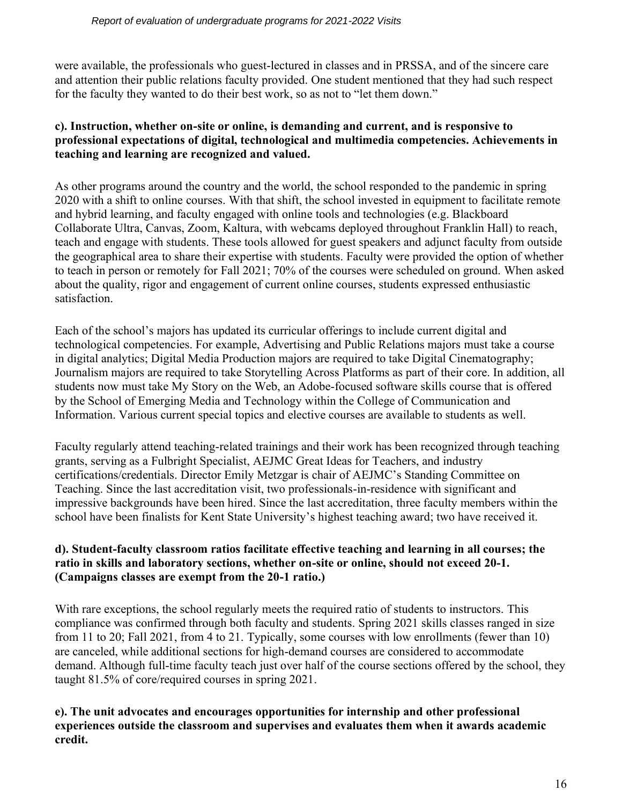were available, the professionals who guest-lectured in classes and in PRSSA, and of the sincere care and attention their public relations faculty provided. One student mentioned that they had such respect for the faculty they wanted to do their best work, so as not to "let them down."

## **c). Instruction, whether on-site or online, is demanding and current, and is responsive to professional expectations of digital, technological and multimedia competencies. Achievements in teaching and learning are recognized and valued.**

As other programs around the country and the world, the school responded to the pandemic in spring 2020 with a shift to online courses. With that shift, the school invested in equipment to facilitate remote and hybrid learning, and faculty engaged with online tools and technologies (e.g. Blackboard Collaborate Ultra, Canvas, Zoom, Kaltura, with webcams deployed throughout Franklin Hall) to reach, teach and engage with students. These tools allowed for guest speakers and adjunct faculty from outside the geographical area to share their expertise with students. Faculty were provided the option of whether to teach in person or remotely for Fall 2021; 70% of the courses were scheduled on ground. When asked about the quality, rigor and engagement of current online courses, students expressed enthusiastic satisfaction.

Each of the school's majors has updated its curricular offerings to include current digital and technological competencies. For example, Advertising and Public Relations majors must take a course in digital analytics; Digital Media Production majors are required to take Digital Cinematography; Journalism majors are required to take Storytelling Across Platforms as part of their core. In addition, all students now must take My Story on the Web, an Adobe-focused software skills course that is offered by the School of Emerging Media and Technology within the College of Communication and Information. Various current special topics and elective courses are available to students as well.

Faculty regularly attend teaching-related trainings and their work has been recognized through teaching grants, serving as a Fulbright Specialist, AEJMC Great Ideas for Teachers, and industry certifications/credentials. Director Emily Metzgar is chair of AEJMC's Standing Committee on Teaching. Since the last accreditation visit, two professionals-in-residence with significant and impressive backgrounds have been hired. Since the last accreditation, three faculty members within the school have been finalists for Kent State University's highest teaching award; two have received it.

#### **d). Student-faculty classroom ratios facilitate effective teaching and learning in all courses; the ratio in skills and laboratory sections, whether on-site or online, should not exceed 20-1. (Campaigns classes are exempt from the 20-1 ratio.)**

With rare exceptions, the school regularly meets the required ratio of students to instructors. This compliance was confirmed through both faculty and students. Spring 2021 skills classes ranged in size from 11 to 20; Fall 2021, from 4 to 21. Typically, some courses with low enrollments (fewer than 10) are canceled, while additional sections for high-demand courses are considered to accommodate demand. Although full-time faculty teach just over half of the course sections offered by the school, they taught 81.5% of core/required courses in spring 2021.

## **e). The unit advocates and encourages opportunities for internship and other professional experiences outside the classroom and supervises and evaluates them when it awards academic credit.**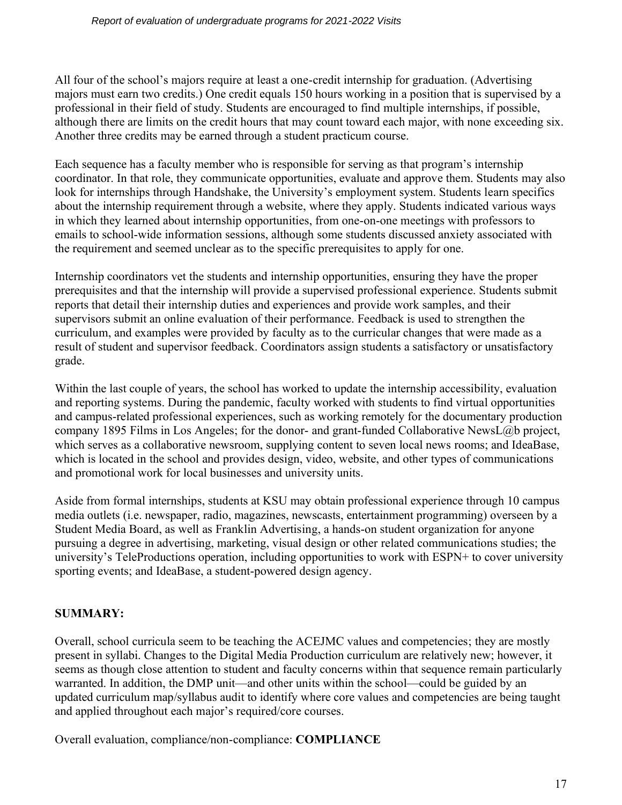All four of the school's majors require at least a one-credit internship for graduation. (Advertising majors must earn two credits.) One credit equals 150 hours working in a position that is supervised by a professional in their field of study. Students are encouraged to find multiple internships, if possible, although there are limits on the credit hours that may count toward each major, with none exceeding six. Another three credits may be earned through a student practicum course.

Each sequence has a faculty member who is responsible for serving as that program's internship coordinator. In that role, they communicate opportunities, evaluate and approve them. Students may also look for internships through Handshake, the University's employment system. Students learn specifics about the internship requirement through a website, where they apply. Students indicated various ways in which they learned about internship opportunities, from one-on-one meetings with professors to emails to school-wide information sessions, although some students discussed anxiety associated with the requirement and seemed unclear as to the specific prerequisites to apply for one.

Internship coordinators vet the students and internship opportunities, ensuring they have the proper prerequisites and that the internship will provide a supervised professional experience. Students submit reports that detail their internship duties and experiences and provide work samples, and their supervisors submit an online evaluation of their performance. Feedback is used to strengthen the curriculum, and examples were provided by faculty as to the curricular changes that were made as a result of student and supervisor feedback. Coordinators assign students a satisfactory or unsatisfactory grade.

Within the last couple of years, the school has worked to update the internship accessibility, evaluation and reporting systems. During the pandemic, faculty worked with students to find virtual opportunities and campus-related professional experiences, such as working remotely for the documentary production company 1895 Films in Los Angeles; for the donor- and grant-funded Collaborative NewsL@b project, which serves as a collaborative newsroom, supplying content to seven local news rooms; and IdeaBase, which is located in the school and provides design, video, website, and other types of communications and promotional work for local businesses and university units.

Aside from formal internships, students at KSU may obtain professional experience through 10 campus media outlets (i.e. newspaper, radio, magazines, newscasts, entertainment programming) overseen by a Student Media Board, as well as Franklin Advertising, a hands-on student organization for anyone pursuing a degree in advertising, marketing, visual design or other related communications studies; the university's TeleProductions operation, including opportunities to work with ESPN+ to cover university sporting events; and IdeaBase, a student-powered design agency.

# **SUMMARY:**

Overall, school curricula seem to be teaching the ACEJMC values and competencies; they are mostly present in syllabi. Changes to the Digital Media Production curriculum are relatively new; however, it seems as though close attention to student and faculty concerns within that sequence remain particularly warranted. In addition, the DMP unit—and other units within the school—could be guided by an updated curriculum map/syllabus audit to identify where core values and competencies are being taught and applied throughout each major's required/core courses.

Overall evaluation, compliance/non-compliance: **COMPLIANCE**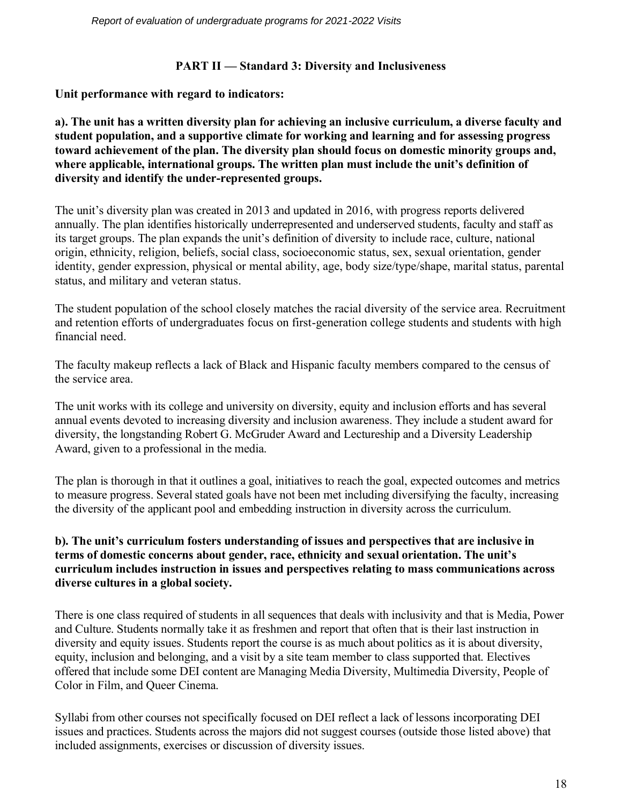# **PART II — Standard 3: Diversity and Inclusiveness**

**Unit performance with regard to indicators:**

**a). The unit has a written diversity plan for achieving an inclusive curriculum, a diverse faculty and student population, and a supportive climate for working and learning and for assessing progress toward achievement of the plan. The diversity plan should focus on domestic minority groups and, where applicable, international groups. The written plan must include the unit's definition of diversity and identify the under-represented groups.**

The unit's diversity plan was created in 2013 and updated in 2016, with progress reports delivered annually. The plan identifies historically underrepresented and underserved students, faculty and staff as its target groups. The plan expands the unit's definition of diversity to include race, culture, national origin, ethnicity, religion, beliefs, social class, socioeconomic status, sex, sexual orientation, gender identity, gender expression, physical or mental ability, age, body size/type/shape, marital status, parental status, and military and veteran status.

The student population of the school closely matches the racial diversity of the service area. Recruitment and retention efforts of undergraduates focus on first-generation college students and students with high financial need.

The faculty makeup reflects a lack of Black and Hispanic faculty members compared to the census of the service area.

The unit works with its college and university on diversity, equity and inclusion efforts and has several annual events devoted to increasing diversity and inclusion awareness. They include a student award for diversity, the longstanding Robert G. McGruder Award and Lectureship and a Diversity Leadership Award, given to a professional in the media.

The plan is thorough in that it outlines a goal, initiatives to reach the goal, expected outcomes and metrics to measure progress. Several stated goals have not been met including diversifying the faculty, increasing the diversity of the applicant pool and embedding instruction in diversity across the curriculum.

## **b). The unit's curriculum fosters understanding of issues and perspectives that are inclusive in terms of domestic concerns about gender, race, ethnicity and sexual orientation. The unit's curriculum includes instruction in issues and perspectives relating to mass communications across diverse cultures in a global society.**

There is one class required of students in all sequences that deals with inclusivity and that is Media, Power and Culture. Students normally take it as freshmen and report that often that is their last instruction in diversity and equity issues. Students report the course is as much about politics as it is about diversity, equity, inclusion and belonging, and a visit by a site team member to class supported that. Electives offered that include some DEI content are Managing Media Diversity, Multimedia Diversity, People of Color in Film, and Queer Cinema.

Syllabi from other courses not specifically focused on DEI reflect a lack of lessons incorporating DEI issues and practices. Students across the majors did not suggest courses (outside those listed above) that included assignments, exercises or discussion of diversity issues.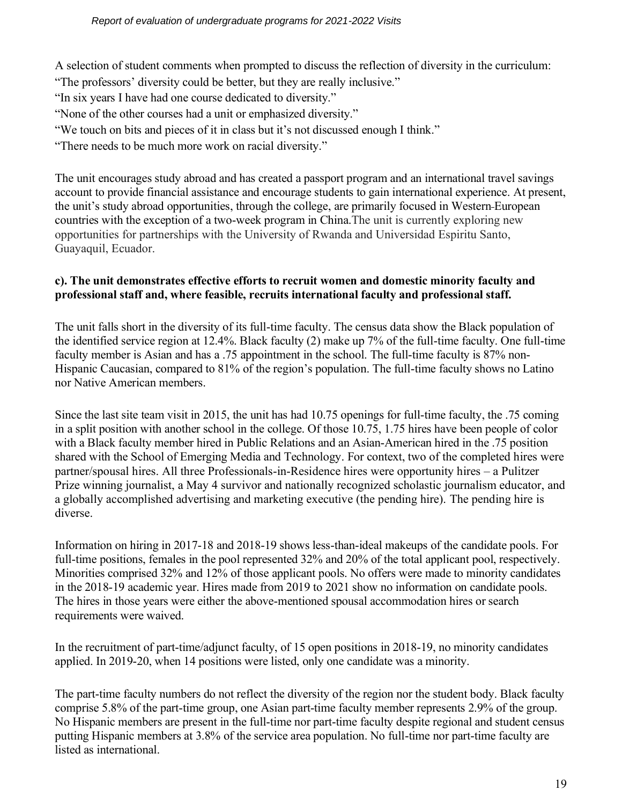A selection of student comments when prompted to discuss the reflection of diversity in the curriculum:

"The professors' diversity could be better, but they are really inclusive."

"In six years I have had one course dedicated to diversity."

"None of the other courses had a unit or emphasized diversity."

"We touch on bits and pieces of it in class but it's not discussed enough I think."

"There needs to be much more work on racial diversity."

The unit encourages study abroad and has created a passport program and an international travel savings account to provide financial assistance and encourage students to gain international experience. At present, the unit's study abroad opportunities, through the college, are primarily focused in Western European countries with the exception of a two-week program in China.The unit is currently exploring new opportunities for partnerships with the University of Rwanda and Universidad Espiritu Santo, Guayaquil, Ecuador.

# **c). The unit demonstrates effective efforts to recruit women and domestic minority faculty and professional staff and, where feasible, recruits international faculty and professional staff.**

The unit falls short in the diversity of its full-time faculty. The census data show the Black population of the identified service region at 12.4%. Black faculty (2) make up 7% of the full-time faculty. One full-time faculty member is Asian and has a .75 appointment in the school. The full-time faculty is 87% non-Hispanic Caucasian, compared to 81% of the region's population. The full-time faculty shows no Latino nor Native American members.

Since the last site team visit in 2015, the unit has had 10.75 openings for full-time faculty, the .75 coming in a split position with another school in the college. Of those 10.75, 1.75 hires have been people of color with a Black faculty member hired in Public Relations and an Asian-American hired in the .75 position shared with the School of Emerging Media and Technology. For context, two of the completed hires were partner/spousal hires. All three Professionals-in-Residence hires were opportunity hires – a Pulitzer Prize winning journalist, a May 4 survivor and nationally recognized scholastic journalism educator, and a globally accomplished advertising and marketing executive (the pending hire). The pending hire is diverse.

Information on hiring in 2017-18 and 2018-19 shows less-than-ideal makeups of the candidate pools. For full-time positions, females in the pool represented 32% and 20% of the total applicant pool, respectively. Minorities comprised 32% and 12% of those applicant pools. No offers were made to minority candidates in the 2018-19 academic year. Hires made from 2019 to 2021 show no information on candidate pools. The hires in those years were either the above-mentioned spousal accommodation hires or search requirements were waived.

In the recruitment of part-time/adjunct faculty, of 15 open positions in 2018-19, no minority candidates applied. In 2019-20, when 14 positions were listed, only one candidate was a minority.

The part-time faculty numbers do not reflect the diversity of the region nor the student body. Black faculty comprise 5.8% of the part-time group, one Asian part-time faculty member represents 2.9% of the group. No Hispanic members are present in the full-time nor part-time faculty despite regional and student census putting Hispanic members at 3.8% of the service area population. No full-time nor part-time faculty are listed as international.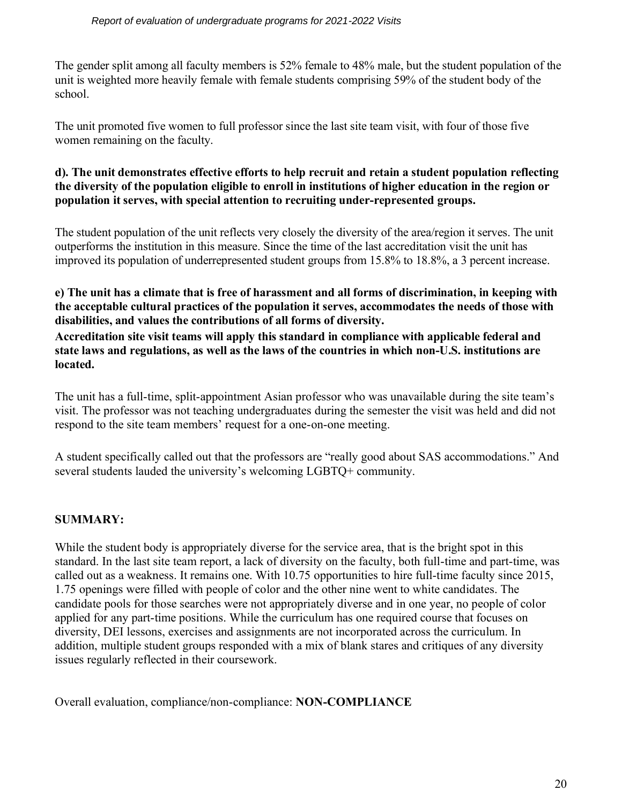The gender split among all faculty members is 52% female to 48% male, but the student population of the unit is weighted more heavily female with female students comprising 59% of the student body of the school.

The unit promoted five women to full professor since the last site team visit, with four of those five women remaining on the faculty.

### **d). The unit demonstrates effective efforts to help recruit and retain a student population reflecting the diversity of the population eligible to enroll in institutions of higher education in the region or population it serves, with special attention to recruiting under-represented groups.**

The student population of the unit reflects very closely the diversity of the area/region it serves. The unit outperforms the institution in this measure. Since the time of the last accreditation visit the unit has improved its population of underrepresented student groups from 15.8% to 18.8%, a 3 percent increase.

#### **e) The unit has a climate that is free of harassment and all forms of discrimination, in keeping with the acceptable cultural practices of the population it serves, accommodates the needs of those with disabilities, and values the contributions of all forms of diversity.**

**Accreditation site visit teams will apply this standard in compliance with applicable federal and state laws and regulations, as well as the laws of the countries in which non-U.S. institutions are located.**

The unit has a full-time, split-appointment Asian professor who was unavailable during the site team's visit. The professor was not teaching undergraduates during the semester the visit was held and did not respond to the site team members' request for a one-on-one meeting.

A student specifically called out that the professors are "really good about SAS accommodations." And several students lauded the university's welcoming LGBTQ+ community.

# **SUMMARY:**

While the student body is appropriately diverse for the service area, that is the bright spot in this standard. In the last site team report, a lack of diversity on the faculty, both full-time and part-time, was called out as a weakness. It remains one. With 10.75 opportunities to hire full-time faculty since 2015, 1.75 openings were filled with people of color and the other nine went to white candidates. The candidate pools for those searches were not appropriately diverse and in one year, no people of color applied for any part-time positions. While the curriculum has one required course that focuses on diversity, DEI lessons, exercises and assignments are not incorporated across the curriculum. In addition, multiple student groups responded with a mix of blank stares and critiques of any diversity issues regularly reflected in their coursework.

Overall evaluation, compliance/non-compliance: **NON-COMPLIANCE**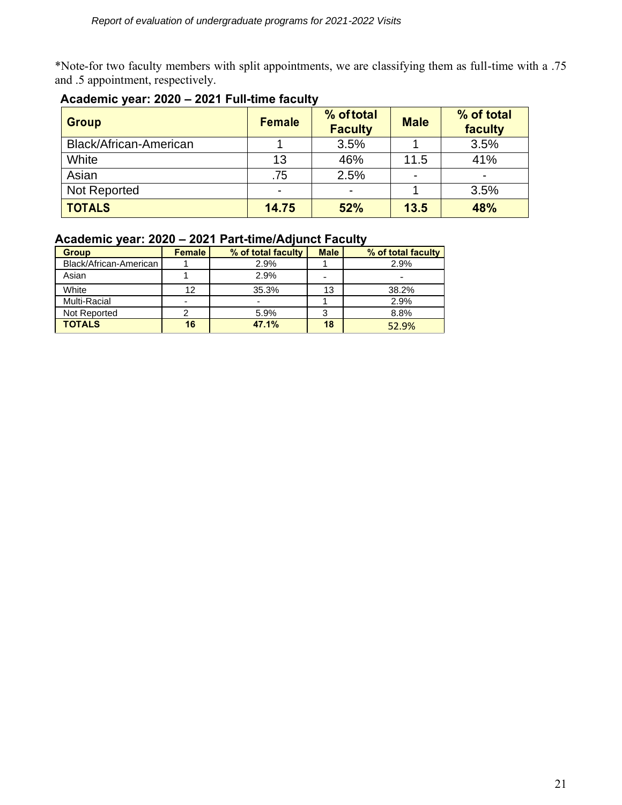\*Note-for two faculty members with split appointments, we are classifying them as full-time with a .75 and .5 appointment, respectively.

| <b>Group</b>           | <b>Female</b> | % of total<br><b>Faculty</b> | <b>Male</b> | % of total<br>faculty |
|------------------------|---------------|------------------------------|-------------|-----------------------|
| Black/African-American |               | 3.5%                         |             | 3.5%                  |
| White                  | 13            | 46%                          | 11.5        | 41%                   |
| Asian                  | .75           | 2.5%                         |             |                       |
| Not Reported           |               | $\blacksquare$               |             | 3.5%                  |
| <b>TOTALS</b>          | 14.75         | 52%                          | 13.5        | 48%                   |

# **Academic year: 2020 – 2021 Full-time faculty**

# **Academic year: 2020 – 2021 Part-time/Adjunct Faculty**

| <b>Group</b>           | <b>Female</b> | % of total faculty | <b>Male</b> | % of total faculty       |
|------------------------|---------------|--------------------|-------------|--------------------------|
| Black/African-American |               | 2.9%               |             | 2.9%                     |
| Asian                  |               | 2.9%               |             | $\overline{\phantom{0}}$ |
| White                  | 12            | 35.3%              | 13          | 38.2%                    |
| <b>Multi-Racial</b>    |               |                    |             | 2.9%                     |
| Not Reported           |               | 5.9%               | 3           | 8.8%                     |
| <b>TOTALS</b>          | 16            | 47.1%              | 18          | 52.9%                    |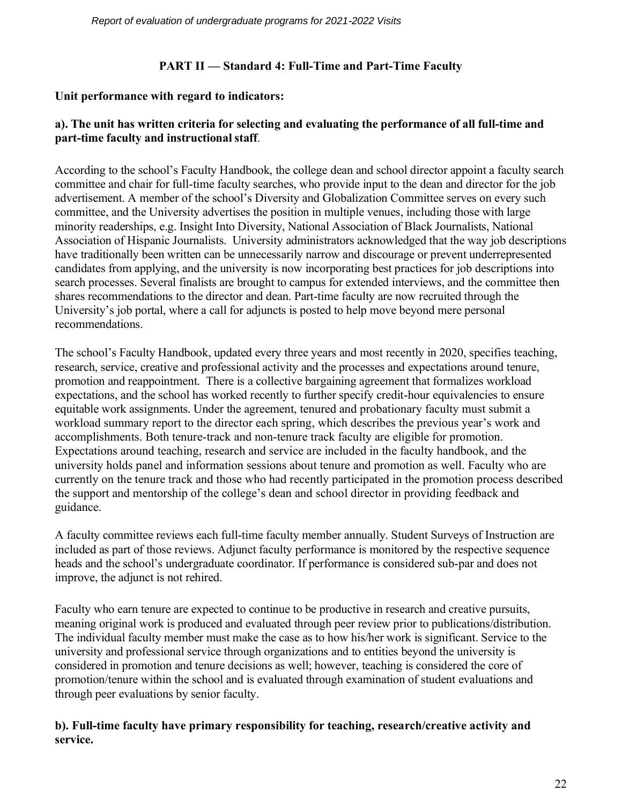# **PART II — Standard 4: Full-Time and Part-Time Faculty**

# **Unit performance with regard to indicators:**

# **a). The unit has written criteria for selecting and evaluating the performance of all full-time and part-time faculty and instructional staff**.

According to the school's Faculty Handbook, the college dean and school director appoint a faculty search committee and chair for full-time faculty searches, who provide input to the dean and director for the job advertisement. A member of the school's Diversity and Globalization Committee serves on every such committee, and the University advertises the position in multiple venues, including those with large minority readerships, e.g. Insight Into Diversity, National Association of Black Journalists, National Association of Hispanic Journalists. University administrators acknowledged that the way job descriptions have traditionally been written can be unnecessarily narrow and discourage or prevent underrepresented candidates from applying, and the university is now incorporating best practices for job descriptions into search processes. Several finalists are brought to campus for extended interviews, and the committee then shares recommendations to the director and dean. Part-time faculty are now recruited through the University's job portal, where a call for adjuncts is posted to help move beyond mere personal recommendations.

The school's Faculty Handbook, updated every three years and most recently in 2020, specifies teaching, research, service, creative and professional activity and the processes and expectations around tenure, promotion and reappointment. There is a collective bargaining agreement that formalizes workload expectations, and the school has worked recently to further specify credit-hour equivalencies to ensure equitable work assignments. Under the agreement, tenured and probationary faculty must submit a workload summary report to the director each spring, which describes the previous year's work and accomplishments. Both tenure-track and non-tenure track faculty are eligible for promotion. Expectations around teaching, research and service are included in the faculty handbook, and the university holds panel and information sessions about tenure and promotion as well. Faculty who are currently on the tenure track and those who had recently participated in the promotion process described the support and mentorship of the college's dean and school director in providing feedback and guidance.

A faculty committee reviews each full-time faculty member annually. Student Surveys of Instruction are included as part of those reviews. Adjunct faculty performance is monitored by the respective sequence heads and the school's undergraduate coordinator. If performance is considered sub-par and does not improve, the adjunct is not rehired.

Faculty who earn tenure are expected to continue to be productive in research and creative pursuits, meaning original work is produced and evaluated through peer review prior to publications/distribution. The individual faculty member must make the case as to how his/her work is significant. Service to the university and professional service through organizations and to entities beyond the university is considered in promotion and tenure decisions as well; however, teaching is considered the core of promotion/tenure within the school and is evaluated through examination of student evaluations and through peer evaluations by senior faculty.

# **b). Full-time faculty have primary responsibility for teaching, research/creative activity and service.**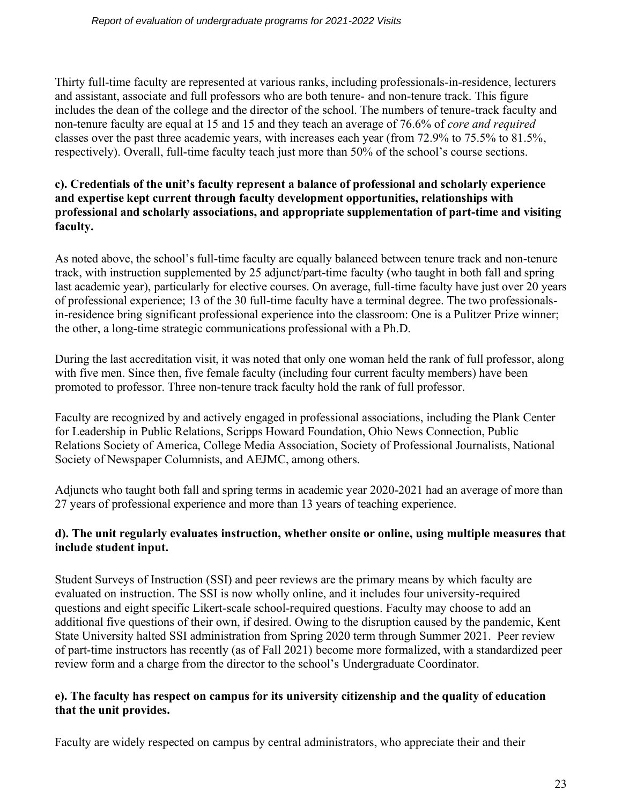Thirty full-time faculty are represented at various ranks, including professionals-in-residence, lecturers and assistant, associate and full professors who are both tenure- and non-tenure track. This figure includes the dean of the college and the director of the school. The numbers of tenure-track faculty and non-tenure faculty are equal at 15 and 15 and they teach an average of 76.6% of *core and required* classes over the past three academic years, with increases each year (from 72.9% to 75.5% to 81.5%, respectively). Overall, full-time faculty teach just more than 50% of the school's course sections.

# **c). Credentials of the unit's faculty represent a balance of professional and scholarly experience and expertise kept current through faculty development opportunities, relationships with professional and scholarly associations, and appropriate supplementation of part-time and visiting faculty.**

As noted above, the school's full-time faculty are equally balanced between tenure track and non-tenure track, with instruction supplemented by 25 adjunct/part-time faculty (who taught in both fall and spring last academic year), particularly for elective courses. On average, full-time faculty have just over 20 years of professional experience; 13 of the 30 full-time faculty have a terminal degree. The two professionalsin-residence bring significant professional experience into the classroom: One is a Pulitzer Prize winner; the other, a long-time strategic communications professional with a Ph.D.

During the last accreditation visit, it was noted that only one woman held the rank of full professor, along with five men. Since then, five female faculty (including four current faculty members) have been promoted to professor. Three non-tenure track faculty hold the rank of full professor.

Faculty are recognized by and actively engaged in professional associations, including the Plank Center for Leadership in Public Relations, Scripps Howard Foundation, Ohio News Connection, Public Relations Society of America, College Media Association, Society of Professional Journalists, National Society of Newspaper Columnists, and AEJMC, among others.

Adjuncts who taught both fall and spring terms in academic year 2020-2021 had an average of more than 27 years of professional experience and more than 13 years of teaching experience.

# **d). The unit regularly evaluates instruction, whether onsite or online, using multiple measures that include student input.**

Student Surveys of Instruction (SSI) and peer reviews are the primary means by which faculty are evaluated on instruction. The SSI is now wholly online, and it includes four university-required questions and eight specific Likert-scale school-required questions. Faculty may choose to add an additional five questions of their own, if desired. Owing to the disruption caused by the pandemic, Kent State University halted SSI administration from Spring 2020 term through Summer 2021. Peer review of part-time instructors has recently (as of Fall 2021) become more formalized, with a standardized peer review form and a charge from the director to the school's Undergraduate Coordinator.

# **e). The faculty has respect on campus for its university citizenship and the quality of education that the unit provides.**

Faculty are widely respected on campus by central administrators, who appreciate their and their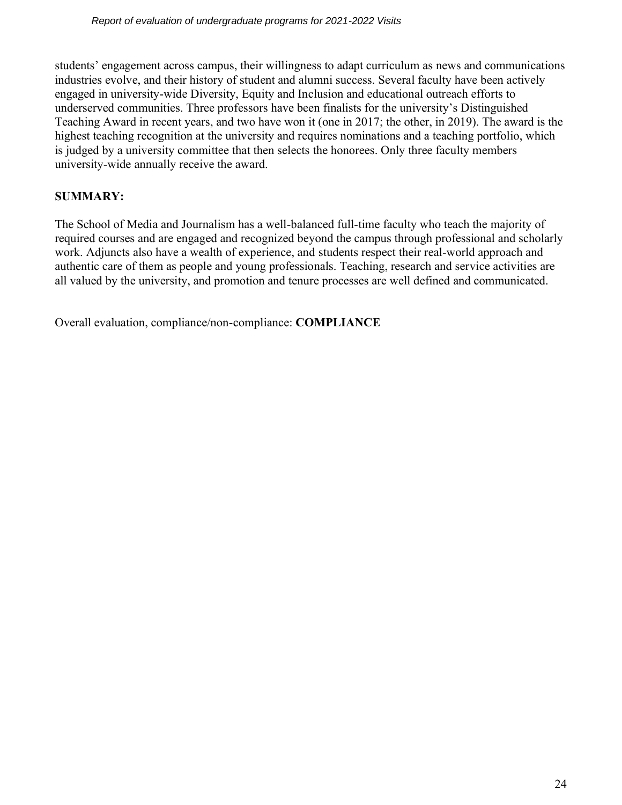students' engagement across campus, their willingness to adapt curriculum as news and communications industries evolve, and their history of student and alumni success. Several faculty have been actively engaged in university-wide Diversity, Equity and Inclusion and educational outreach efforts to underserved communities. Three professors have been finalists for the university's Distinguished Teaching Award in recent years, and two have won it (one in 2017; the other, in 2019). The award is the highest teaching recognition at the university and requires nominations and a teaching portfolio, which is judged by a university committee that then selects the honorees. Only three faculty members university-wide annually receive the award.

# **SUMMARY:**

The School of Media and Journalism has a well-balanced full-time faculty who teach the majority of required courses and are engaged and recognized beyond the campus through professional and scholarly work. Adjuncts also have a wealth of experience, and students respect their real-world approach and authentic care of them as people and young professionals. Teaching, research and service activities are all valued by the university, and promotion and tenure processes are well defined and communicated.

Overall evaluation, compliance/non-compliance: **COMPLIANCE**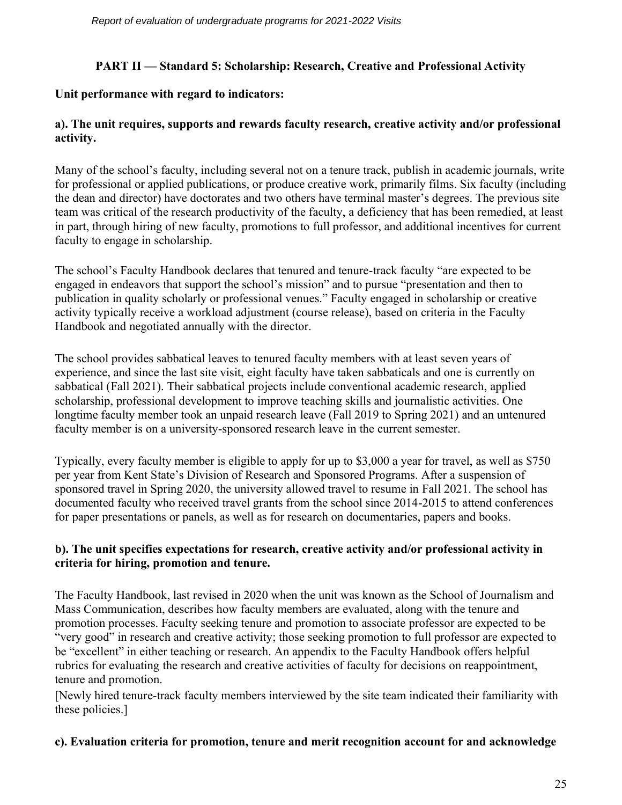# **PART II — Standard 5: Scholarship: Research, Creative and Professional Activity**

# **Unit performance with regard to indicators:**

# **a). The unit requires, supports and rewards faculty research, creative activity and/or professional activity.**

Many of the school's faculty, including several not on a tenure track, publish in academic journals, write for professional or applied publications, or produce creative work, primarily films. Six faculty (including the dean and director) have doctorates and two others have terminal master's degrees. The previous site team was critical of the research productivity of the faculty, a deficiency that has been remedied, at least in part, through hiring of new faculty, promotions to full professor, and additional incentives for current faculty to engage in scholarship.

The school's Faculty Handbook declares that tenured and tenure-track faculty "are expected to be engaged in endeavors that support the school's mission" and to pursue "presentation and then to publication in quality scholarly or professional venues." Faculty engaged in scholarship or creative activity typically receive a workload adjustment (course release), based on criteria in the Faculty Handbook and negotiated annually with the director.

The school provides sabbatical leaves to tenured faculty members with at least seven years of experience, and since the last site visit, eight faculty have taken sabbaticals and one is currently on sabbatical (Fall 2021). Their sabbatical projects include conventional academic research, applied scholarship, professional development to improve teaching skills and journalistic activities. One longtime faculty member took an unpaid research leave (Fall 2019 to Spring 2021) and an untenured faculty member is on a university-sponsored research leave in the current semester.

Typically, every faculty member is eligible to apply for up to \$3,000 a year for travel, as well as \$750 per year from Kent State's Division of Research and Sponsored Programs. After a suspension of sponsored travel in Spring 2020, the university allowed travel to resume in Fall 2021. The school has documented faculty who received travel grants from the school since 2014-2015 to attend conferences for paper presentations or panels, as well as for research on documentaries, papers and books.

## **b). The unit specifies expectations for research, creative activity and/or professional activity in criteria for hiring, promotion and tenure.**

The Faculty Handbook, last revised in 2020 when the unit was known as the School of Journalism and Mass Communication, describes how faculty members are evaluated, along with the tenure and promotion processes. Faculty seeking tenure and promotion to associate professor are expected to be "very good" in research and creative activity; those seeking promotion to full professor are expected to be "excellent" in either teaching or research. An appendix to the Faculty Handbook offers helpful rubrics for evaluating the research and creative activities of faculty for decisions on reappointment, tenure and promotion.

[Newly hired tenure-track faculty members interviewed by the site team indicated their familiarity with these policies.]

## **c). Evaluation criteria for promotion, tenure and merit recognition account for and acknowledge**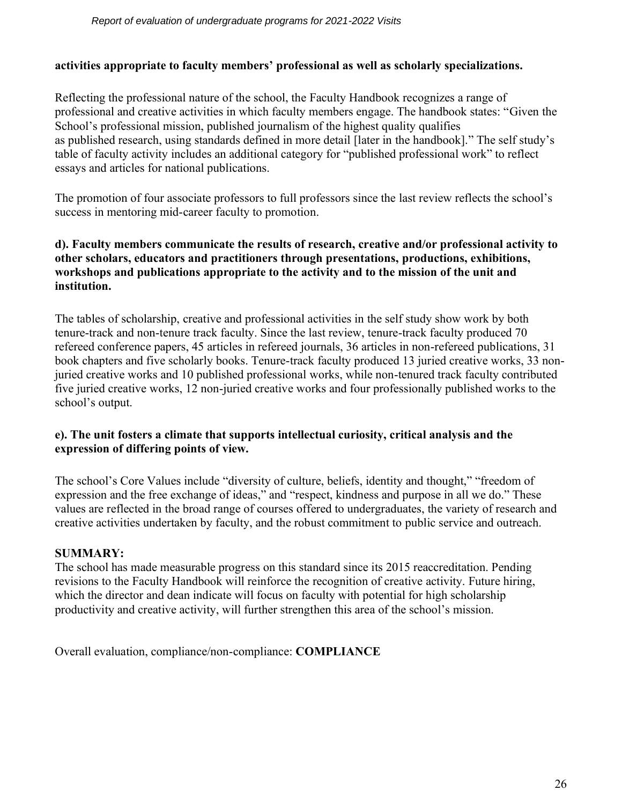#### **activities appropriate to faculty members' professional as well as scholarly specializations.**

Reflecting the professional nature of the school, the Faculty Handbook recognizes a range of professional and creative activities in which faculty members engage. The handbook states: "Given the School's professional mission, published journalism of the highest quality qualifies as published research, using standards defined in more detail [later in the handbook]." The self study's table of faculty activity includes an additional category for "published professional work" to reflect essays and articles for national publications.

The promotion of four associate professors to full professors since the last review reflects the school's success in mentoring mid-career faculty to promotion.

#### **d). Faculty members communicate the results of research, creative and/or professional activity to other scholars, educators and practitioners through presentations, productions, exhibitions, workshops and publications appropriate to the activity and to the mission of the unit and institution.**

The tables of scholarship, creative and professional activities in the self study show work by both tenure-track and non-tenure track faculty. Since the last review, tenure-track faculty produced 70 refereed conference papers, 45 articles in refereed journals, 36 articles in non-refereed publications, 31 book chapters and five scholarly books. Tenure-track faculty produced 13 juried creative works, 33 nonjuried creative works and 10 published professional works, while non-tenured track faculty contributed five juried creative works, 12 non-juried creative works and four professionally published works to the school's output.

## **e). The unit fosters a climate that supports intellectual curiosity, critical analysis and the expression of differing points of view.**

The school's Core Values include "diversity of culture, beliefs, identity and thought," "freedom of expression and the free exchange of ideas," and "respect, kindness and purpose in all we do." These values are reflected in the broad range of courses offered to undergraduates, the variety of research and creative activities undertaken by faculty, and the robust commitment to public service and outreach.

## **SUMMARY:**

The school has made measurable progress on this standard since its 2015 reaccreditation. Pending revisions to the Faculty Handbook will reinforce the recognition of creative activity. Future hiring, which the director and dean indicate will focus on faculty with potential for high scholarship productivity and creative activity, will further strengthen this area of the school's mission.

Overall evaluation, compliance/non-compliance: **COMPLIANCE**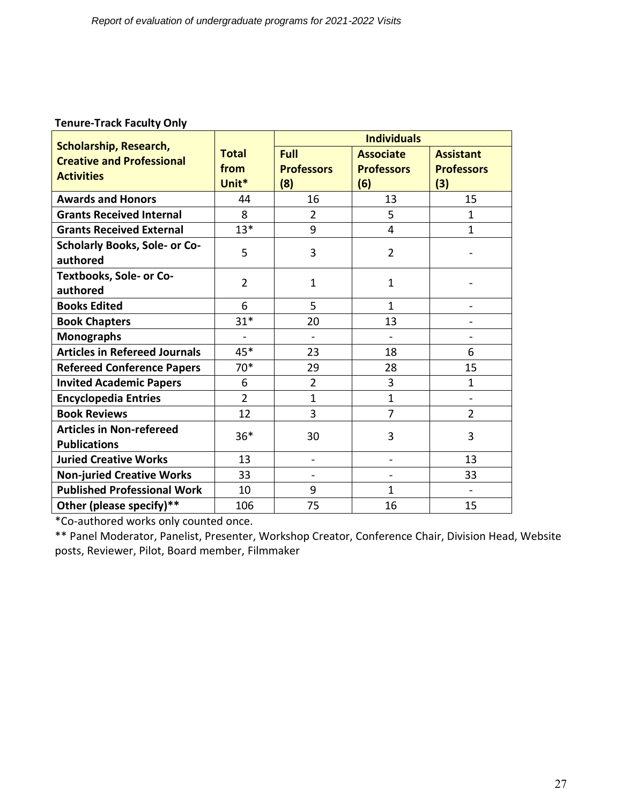## **Tenure-Track Faculty Only**

|                                                                   |                | <b>Individuals</b>           |                          |                          |  |
|-------------------------------------------------------------------|----------------|------------------------------|--------------------------|--------------------------|--|
| <b>Scholarship, Research,</b><br><b>Creative and Professional</b> | <b>Total</b>   | <b>Full</b>                  | <b>Associate</b>         | <b>Assistant</b>         |  |
| <b>Activities</b>                                                 | from           | <b>Professors</b>            | <b>Professors</b>        | <b>Professors</b>        |  |
|                                                                   | Unit*          | (8)                          | (6)                      | (3)                      |  |
| <b>Awards and Honors</b>                                          | 44             | 16                           | 13                       | 15                       |  |
| <b>Grants Received Internal</b>                                   | 8              | $\overline{2}$               | 5                        | $\mathbf 1$              |  |
| <b>Grants Received External</b>                                   | $13*$          | 9                            | 4                        | 1                        |  |
| <b>Scholarly Books, Sole- or Co-</b>                              | 5              | 3                            | $\overline{2}$           |                          |  |
| authored                                                          |                |                              |                          |                          |  |
| <b>Textbooks, Sole- or Co-</b>                                    | $\overline{2}$ | $\mathbf{1}$                 | $\mathbf{1}$             |                          |  |
| authored                                                          |                |                              |                          |                          |  |
| <b>Books Edited</b>                                               | 6              | 5                            | $\mathbf{1}$             | $\overline{\phantom{0}}$ |  |
| <b>Book Chapters</b>                                              | $31*$          | 20                           | 13                       |                          |  |
| <b>Monographs</b>                                                 | $\overline{a}$ | $\overline{\phantom{a}}$     |                          |                          |  |
| <b>Articles in Refereed Journals</b>                              | 45*            | 23                           | 18                       | 6                        |  |
| <b>Refereed Conference Papers</b>                                 | $70*$          | 29                           | 28                       | 15                       |  |
| <b>Invited Academic Papers</b>                                    | 6              | $\overline{2}$               | 3                        | $\mathbf{1}$             |  |
| <b>Encyclopedia Entries</b>                                       | $\overline{2}$ | $\overline{1}$               | $\mathbf{1}$             | $\blacksquare$           |  |
| <b>Book Reviews</b>                                               | 12             | 3                            | $\overline{7}$           | $\overline{2}$           |  |
| <b>Articles in Non-refereed</b>                                   | $36*$          | 30                           | 3                        | 3                        |  |
| <b>Publications</b>                                               |                |                              |                          |                          |  |
| <b>Juried Creative Works</b>                                      | 13             | $\overline{\phantom{a}}$     | $\overline{\phantom{a}}$ | 13                       |  |
| <b>Non-juried Creative Works</b>                                  | 33             | $\qquad \qquad \blacksquare$ | $\blacksquare$           | 33                       |  |
| <b>Published Professional Work</b>                                | 10             | 9                            | 1                        |                          |  |
| Other (please specify)**                                          | 106            | 75                           | 16                       | 15                       |  |

\*Co-authored works only counted once.

\*\* Panel Moderator, Panelist, Presenter, Workshop Creator, Conference Chair, Division Head, Website posts, Reviewer, Pilot, Board member, Filmmaker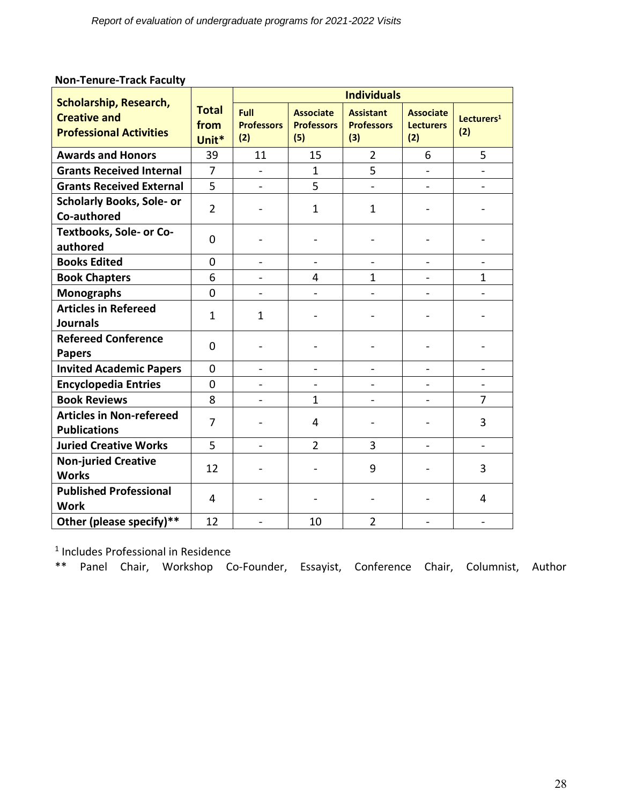| <b>Scholarship, Research,</b>                          |                               | <b>Individuals</b>               |                                              |                                              |                                             |                               |
|--------------------------------------------------------|-------------------------------|----------------------------------|----------------------------------------------|----------------------------------------------|---------------------------------------------|-------------------------------|
| <b>Creative and</b><br><b>Professional Activities</b>  | <b>Total</b><br>from<br>Unit* | Full<br><b>Professors</b><br>(2) | <b>Associate</b><br><b>Professors</b><br>(5) | <b>Assistant</b><br><b>Professors</b><br>(3) | <b>Associate</b><br><b>Lecturers</b><br>(2) | Lecturers <sup>1</sup><br>(2) |
| <b>Awards and Honors</b>                               | 39                            | 11                               | 15                                           | $\overline{2}$                               | 6                                           | 5                             |
| <b>Grants Received Internal</b>                        | $\overline{7}$                |                                  | $\mathbf{1}$                                 | 5                                            |                                             |                               |
| <b>Grants Received External</b>                        | 5                             |                                  | 5                                            |                                              | $\overline{\phantom{0}}$                    |                               |
| <b>Scholarly Books, Sole- or</b><br>Co-authored        | $\overline{2}$                |                                  | $\mathbf{1}$                                 | $\mathbf 1$                                  | $\overline{\phantom{0}}$                    |                               |
| Textbooks, Sole- or Co-<br>authored                    | 0                             |                                  |                                              |                                              |                                             |                               |
| <b>Books Edited</b>                                    | 0                             | $\blacksquare$                   | $\qquad \qquad -$                            | $\overline{a}$                               | $\overline{\phantom{a}}$                    | $\overline{a}$                |
| <b>Book Chapters</b>                                   | 6                             |                                  | 4                                            | $\mathbf 1$                                  |                                             | $\mathbf{1}$                  |
| <b>Monographs</b>                                      | 0                             |                                  | $\qquad \qquad -$                            |                                              |                                             |                               |
| <b>Articles in Refereed</b><br><b>Journals</b>         | 1                             | $\mathbf{1}$                     |                                              |                                              |                                             |                               |
| <b>Refereed Conference</b><br><b>Papers</b>            | 0                             |                                  |                                              |                                              |                                             |                               |
| <b>Invited Academic Papers</b>                         | $\overline{0}$                | $\overline{a}$                   | $\overline{\phantom{0}}$                     |                                              | $\overline{\phantom{0}}$                    |                               |
| <b>Encyclopedia Entries</b>                            | $\mathbf 0$                   | $\overline{\phantom{a}}$         | $\blacksquare$                               | $\qquad \qquad -$                            | $\overline{\phantom{0}}$                    | $\blacksquare$                |
| <b>Book Reviews</b>                                    | 8                             |                                  | $\mathbf{1}$                                 |                                              |                                             | $\overline{7}$                |
| <b>Articles in Non-refereed</b><br><b>Publications</b> | 7                             |                                  | 4                                            |                                              |                                             | 3                             |
| <b>Juried Creative Works</b>                           | 5                             | $\overline{\phantom{0}}$         | $\overline{2}$                               | 3                                            | $\overline{a}$                              |                               |
| <b>Non-juried Creative</b><br><b>Works</b>             | 12                            |                                  | $\overline{\phantom{0}}$                     | 9                                            |                                             | 3                             |
| <b>Published Professional</b><br><b>Work</b>           | 4                             |                                  |                                              |                                              |                                             | 4                             |
| Other (please specify)**                               | 12                            |                                  | 10                                           | $\overline{2}$                               | $\overline{\phantom{a}}$                    | $\frac{1}{2}$                 |

# **Non-Tenure-Track Faculty**

1 Includes Professional in Residence

\*\* Panel Chair, Workshop Co-Founder, Essayist, Conference Chair, Columnist, Author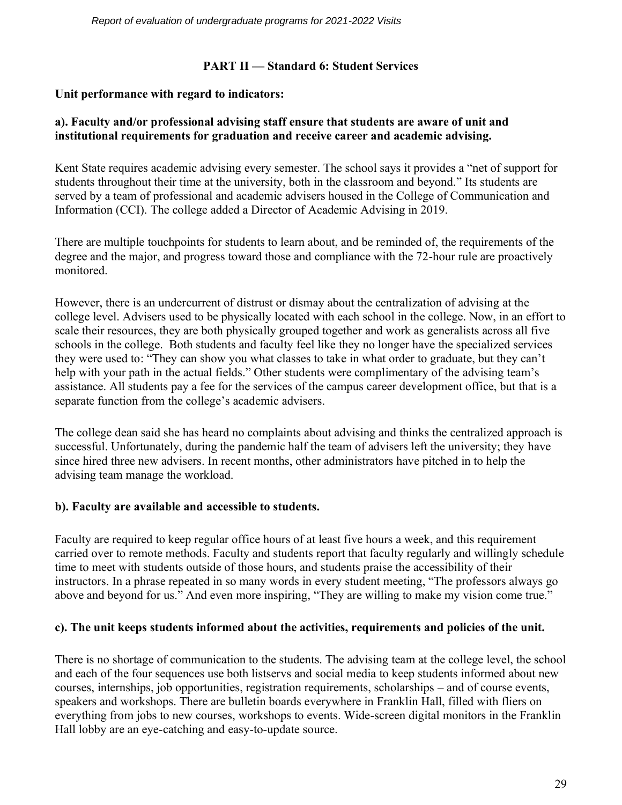## **PART II — Standard 6: Student Services**

# **Unit performance with regard to indicators:**

#### **a). Faculty and/or professional advising staff ensure that students are aware of unit and institutional requirements for graduation and receive career and academic advising.**

Kent State requires academic advising every semester. The school says it provides a "net of support for students throughout their time at the university, both in the classroom and beyond." Its students are served by a team of professional and academic advisers housed in the College of Communication and Information (CCI). The college added a Director of Academic Advising in 2019.

There are multiple touchpoints for students to learn about, and be reminded of, the requirements of the degree and the major, and progress toward those and compliance with the 72-hour rule are proactively monitored.

However, there is an undercurrent of distrust or dismay about the centralization of advising at the college level. Advisers used to be physically located with each school in the college. Now, in an effort to scale their resources, they are both physically grouped together and work as generalists across all five schools in the college. Both students and faculty feel like they no longer have the specialized services they were used to: "They can show you what classes to take in what order to graduate, but they can't help with your path in the actual fields." Other students were complimentary of the advising team's assistance. All students pay a fee for the services of the campus career development office, but that is a separate function from the college's academic advisers.

The college dean said she has heard no complaints about advising and thinks the centralized approach is successful. Unfortunately, during the pandemic half the team of advisers left the university; they have since hired three new advisers. In recent months, other administrators have pitched in to help the advising team manage the workload.

## **b). Faculty are available and accessible to students.**

Faculty are required to keep regular office hours of at least five hours a week, and this requirement carried over to remote methods. Faculty and students report that faculty regularly and willingly schedule time to meet with students outside of those hours, and students praise the accessibility of their instructors. In a phrase repeated in so many words in every student meeting, "The professors always go above and beyond for us." And even more inspiring, "They are willing to make my vision come true."

## **c). The unit keeps students informed about the activities, requirements and policies of the unit.**

There is no shortage of communication to the students. The advising team at the college level, the school and each of the four sequences use both listservs and social media to keep students informed about new courses, internships, job opportunities, registration requirements, scholarships – and of course events, speakers and workshops. There are bulletin boards everywhere in Franklin Hall, filled with fliers on everything from jobs to new courses, workshops to events. Wide-screen digital monitors in the Franklin Hall lobby are an eye-catching and easy-to-update source.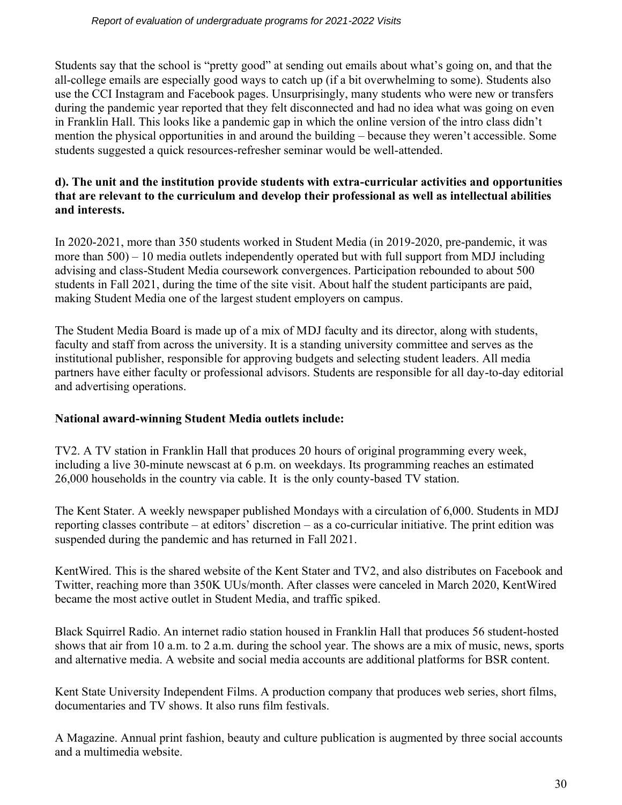Students say that the school is "pretty good" at sending out emails about what's going on, and that the all-college emails are especially good ways to catch up (if a bit overwhelming to some). Students also use the CCI Instagram and Facebook pages. Unsurprisingly, many students who were new or transfers during the pandemic year reported that they felt disconnected and had no idea what was going on even in Franklin Hall. This looks like a pandemic gap in which the online version of the intro class didn't mention the physical opportunities in and around the building – because they weren't accessible. Some students suggested a quick resources-refresher seminar would be well-attended.

#### **d). The unit and the institution provide students with extra-curricular activities and opportunities that are relevant to the curriculum and develop their professional as well as intellectual abilities and interests.**

In 2020-2021, more than 350 students worked in Student Media (in 2019-2020, pre-pandemic, it was more than 500) – 10 media outlets independently operated but with full support from MDJ including advising and class-Student Media coursework convergences. Participation rebounded to about 500 students in Fall 2021, during the time of the site visit. About half the student participants are paid, making Student Media one of the largest student employers on campus.

The Student Media Board is made up of a mix of MDJ faculty and its director, along with students, faculty and staff from across the university. It is a standing university committee and serves as the institutional publisher, responsible for approving budgets and selecting student leaders. All media partners have either faculty or professional advisors. Students are responsible for all day-to-day editorial and advertising operations.

## **National award-winning Student Media outlets include:**

TV2. A TV station in Franklin Hall that produces 20 hours of original programming every week, including a live 30-minute newscast at 6 p.m. on weekdays. Its programming reaches an estimated 26,000 households in the country via cable. It is the only county-based TV station.

The Kent Stater. A weekly newspaper published Mondays with a circulation of 6,000. Students in MDJ reporting classes contribute – at editors' discretion – as a co-curricular initiative. The print edition was suspended during the pandemic and has returned in Fall 2021.

KentWired. This is the shared website of the Kent Stater and TV2, and also distributes on Facebook and Twitter, reaching more than 350K UUs/month. After classes were canceled in March 2020, KentWired became the most active outlet in Student Media, and traffic spiked.

Black Squirrel Radio. An internet radio station housed in Franklin Hall that produces 56 student-hosted shows that air from 10 a.m. to 2 a.m. during the school year. The shows are a mix of music, news, sports and alternative media. A website and social media accounts are additional platforms for BSR content.

Kent State University Independent Films. A production company that produces web series, short films, documentaries and TV shows. It also runs film festivals.

A Magazine. Annual print fashion, beauty and culture publication is augmented by three social accounts and a multimedia website.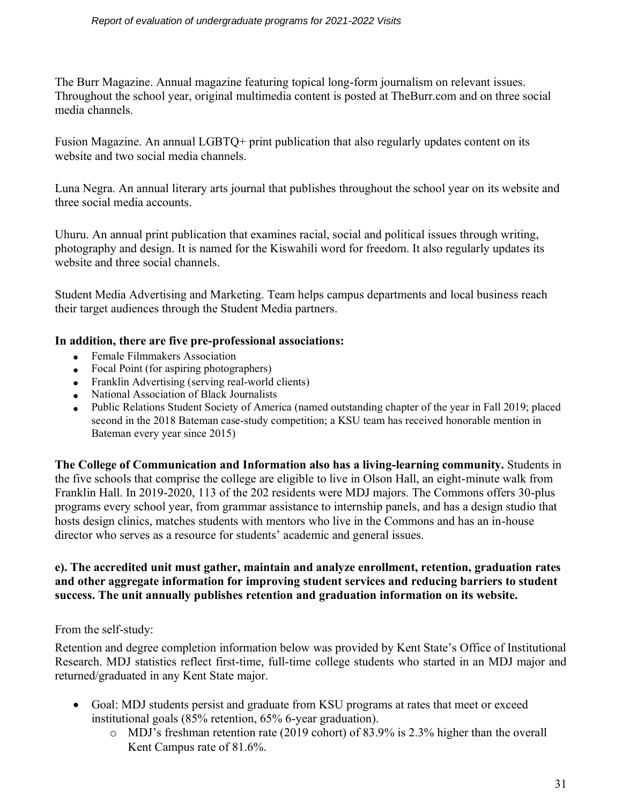The Burr Magazine. Annual magazine featuring topical long-form journalism on relevant issues. Throughout the school year, original multimedia content is posted at TheBurr.com and on three social media channels.

Fusion Magazine. An annual LGBTQ+ print publication that also regularly updates content on its website and two social media channels.

Luna Negra. An annual literary arts journal that publishes throughout the school year on its website and three social media accounts.

Uhuru. An annual print publication that examines racial, social and political issues through writing, photography and design. It is named for the Kiswahili word for freedom. It also regularly updates its website and three social channels.

Student Media Advertising and Marketing. Team helps campus departments and local business reach their target audiences through the Student Media partners.

## **In addition, there are five pre-professional associations:**

- Female Filmmakers Association
- Focal Point (for aspiring photographers)
- Franklin Advertising (serving real-world clients)
- National Association of Black Journalists
- Public Relations Student Society of America (named outstanding chapter of the year in Fall 2019; placed second in the 2018 Bateman case-study competition; a KSU team has received honorable mention in Bateman every year since 2015)

**The College of Communication and Information also has a living-learning community.** Students in the five schools that comprise the college are eligible to live in Olson Hall, an eight-minute walk from Franklin Hall. In 2019-2020, 113 of the 202 residents were MDJ majors. The Commons offers 30-plus programs every school year, from grammar assistance to internship panels, and has a design studio that hosts design clinics, matches students with mentors who live in the Commons and has an in-house director who serves as a resource for students' academic and general issues.

## **e). The accredited unit must gather, maintain and analyze enrollment, retention, graduation rates and other aggregate information for improving student services and reducing barriers to student success. The unit annually publishes retention and graduation information on its website.**

## From the self-study:

Retention and degree completion information below was provided by Kent State's Office of Institutional Research. MDJ statistics reflect first-time, full-time college students who started in an MDJ major and returned/graduated in any Kent State major.

- Goal: MDJ students persist and graduate from KSU programs at rates that meet or exceed institutional goals (85% retention, 65% 6-year graduation).
	- o MDJ's freshman retention rate (2019 cohort) of 83.9% is 2.3% higher than the overall Kent Campus rate of 81.6%.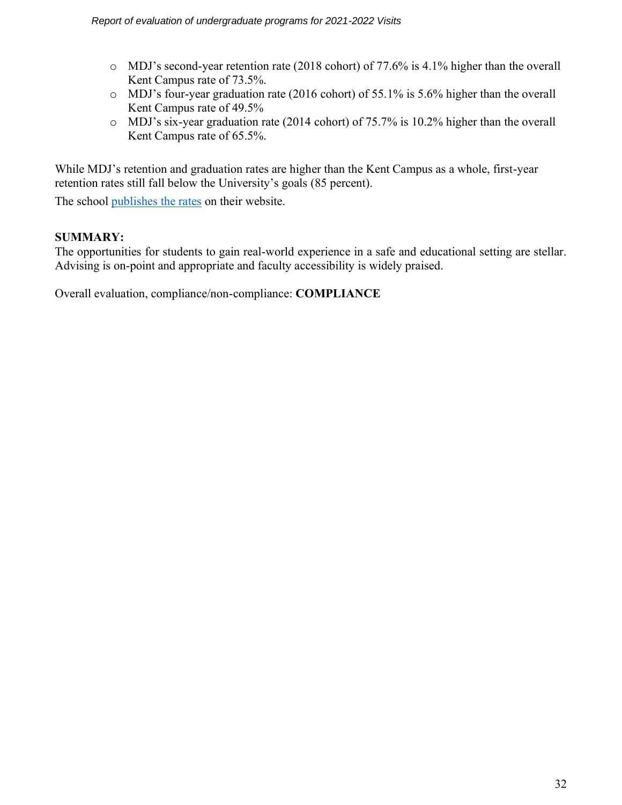- o MDJ's second-year retention rate (2018 cohort) of 77.6% is 4.1% higher than the overall Kent Campus rate of 73.5%.
- o MDJ's four-year graduation rate (2016 cohort) of 55.1% is 5.6% higher than the overall Kent Campus rate of 49.5%
- o MDJ's six-year graduation rate (2014 cohort) of 75.7% is 10.2% higher than the overall Kent Campus rate of 65.5%.

While MDJ's retention and graduation rates are higher than the Kent Campus as a whole, first-year retention rates still fall below the University's goals (85 percent).

The school [publishes the rates](https://www.kent.edu/mdj/retention-rates) on their website.

## **SUMMARY:**

The opportunities for students to gain real-world experience in a safe and educational setting are stellar. Advising is on-point and appropriate and faculty accessibility is widely praised.

Overall evaluation, compliance/non-compliance: **COMPLIANCE**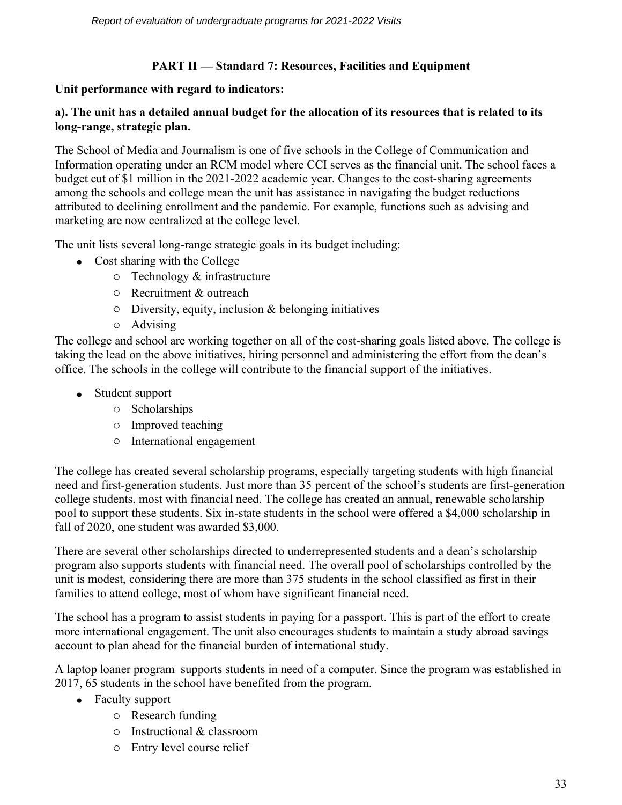# **PART II — Standard 7: Resources, Facilities and Equipment**

#### **Unit performance with regard to indicators:**

#### **a). The unit has a detailed annual budget for the allocation of its resources that is related to its long-range, strategic plan.**

The School of Media and Journalism is one of five schools in the College of Communication and Information operating under an RCM model where CCI serves as the financial unit. The school faces a budget cut of \$1 million in the 2021-2022 academic year. Changes to the cost-sharing agreements among the schools and college mean the unit has assistance in navigating the budget reductions attributed to declining enrollment and the pandemic. For example, functions such as advising and marketing are now centralized at the college level.

The unit lists several long-range strategic goals in its budget including:

- Cost sharing with the College
	- o Technology & infrastructure
	- o Recruitment & outreach
	- $\circ$  Diversity, equity, inclusion & belonging initiatives
	- o Advising

The college and school are working together on all of the cost-sharing goals listed above. The college is taking the lead on the above initiatives, hiring personnel and administering the effort from the dean's office. The schools in the college will contribute to the financial support of the initiatives.

- Student support
	- o Scholarships
	- o Improved teaching
	- o International engagement

The college has created several scholarship programs, especially targeting students with high financial need and first-generation students. Just more than 35 percent of the school's students are first-generation college students, most with financial need. The college has created an annual, renewable scholarship pool to support these students. Six in-state students in the school were offered a \$4,000 scholarship in fall of 2020, one student was awarded \$3,000.

There are several other scholarships directed to underrepresented students and a dean's scholarship program also supports students with financial need. The overall pool of scholarships controlled by the unit is modest, considering there are more than 375 students in the school classified as first in their families to attend college, most of whom have significant financial need.

The school has a program to assist students in paying for a passport. This is part of the effort to create more international engagement. The unit also encourages students to maintain a study abroad savings account to plan ahead for the financial burden of international study.

A laptop loaner program supports students in need of a computer. Since the program was established in 2017, 65 students in the school have benefited from the program.

- Faculty support
	- o Research funding
	- o Instructional & classroom
	- o Entry level course relief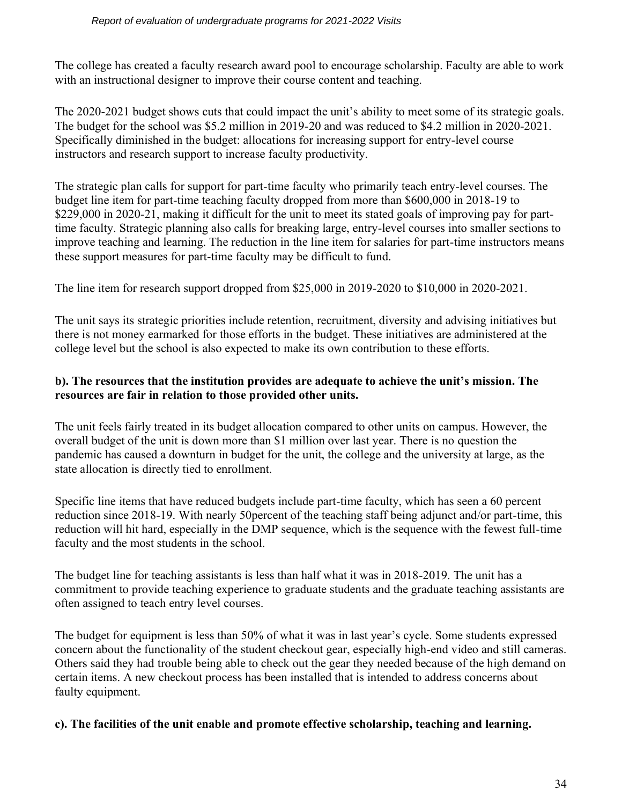The college has created a faculty research award pool to encourage scholarship. Faculty are able to work with an instructional designer to improve their course content and teaching.

The 2020-2021 budget shows cuts that could impact the unit's ability to meet some of its strategic goals. The budget for the school was \$5.2 million in 2019-20 and was reduced to \$4.2 million in 2020-2021. Specifically diminished in the budget: allocations for increasing support for entry-level course instructors and research support to increase faculty productivity.

The strategic plan calls for support for part-time faculty who primarily teach entry-level courses. The budget line item for part-time teaching faculty dropped from more than \$600,000 in 2018-19 to \$229,000 in 2020-21, making it difficult for the unit to meet its stated goals of improving pay for parttime faculty. Strategic planning also calls for breaking large, entry-level courses into smaller sections to improve teaching and learning. The reduction in the line item for salaries for part-time instructors means these support measures for part-time faculty may be difficult to fund.

The line item for research support dropped from \$25,000 in 2019-2020 to \$10,000 in 2020-2021.

The unit says its strategic priorities include retention, recruitment, diversity and advising initiatives but there is not money earmarked for those efforts in the budget. These initiatives are administered at the college level but the school is also expected to make its own contribution to these efforts.

#### **b). The resources that the institution provides are adequate to achieve the unit's mission. The resources are fair in relation to those provided other units.**

The unit feels fairly treated in its budget allocation compared to other units on campus. However, the overall budget of the unit is down more than \$1 million over last year. There is no question the pandemic has caused a downturn in budget for the unit, the college and the university at large, as the state allocation is directly tied to enrollment.

Specific line items that have reduced budgets include part-time faculty, which has seen a 60 percent reduction since 2018-19. With nearly 50percent of the teaching staff being adjunct and/or part-time, this reduction will hit hard, especially in the DMP sequence, which is the sequence with the fewest full-time faculty and the most students in the school.

The budget line for teaching assistants is less than half what it was in 2018-2019. The unit has a commitment to provide teaching experience to graduate students and the graduate teaching assistants are often assigned to teach entry level courses.

The budget for equipment is less than 50% of what it was in last year's cycle. Some students expressed concern about the functionality of the student checkout gear, especially high-end video and still cameras. Others said they had trouble being able to check out the gear they needed because of the high demand on certain items. A new checkout process has been installed that is intended to address concerns about faulty equipment.

## **c). The facilities of the unit enable and promote effective scholarship, teaching and learning.**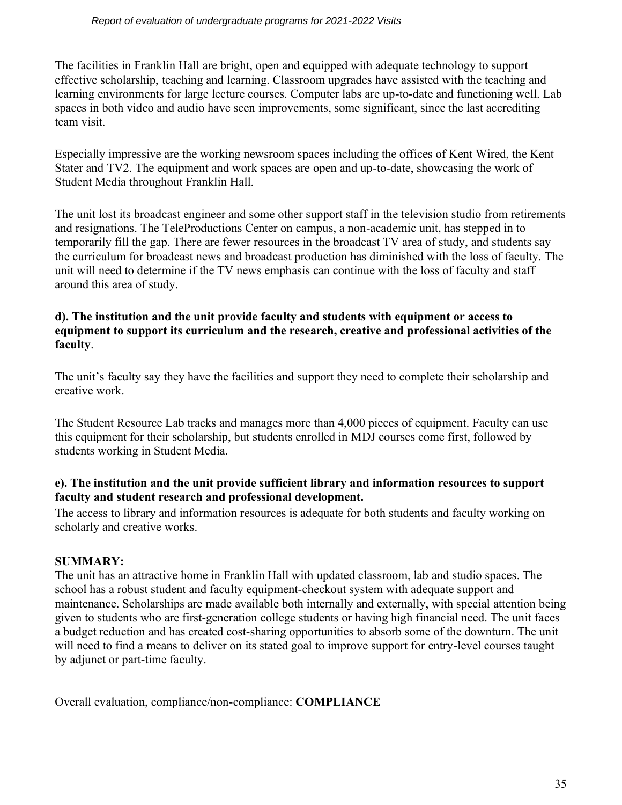The facilities in Franklin Hall are bright, open and equipped with adequate technology to support effective scholarship, teaching and learning. Classroom upgrades have assisted with the teaching and learning environments for large lecture courses. Computer labs are up-to-date and functioning well. Lab spaces in both video and audio have seen improvements, some significant, since the last accrediting team visit.

Especially impressive are the working newsroom spaces including the offices of Kent Wired, the Kent Stater and TV2. The equipment and work spaces are open and up-to-date, showcasing the work of Student Media throughout Franklin Hall.

The unit lost its broadcast engineer and some other support staff in the television studio from retirements and resignations. The TeleProductions Center on campus, a non-academic unit, has stepped in to temporarily fill the gap. There are fewer resources in the broadcast TV area of study, and students say the curriculum for broadcast news and broadcast production has diminished with the loss of faculty. The unit will need to determine if the TV news emphasis can continue with the loss of faculty and staff around this area of study.

#### **d). The institution and the unit provide faculty and students with equipment or access to equipment to support its curriculum and the research, creative and professional activities of the faculty**.

The unit's faculty say they have the facilities and support they need to complete their scholarship and creative work.

The Student Resource Lab tracks and manages more than 4,000 pieces of equipment. Faculty can use this equipment for their scholarship, but students enrolled in MDJ courses come first, followed by students working in Student Media.

## **e). The institution and the unit provide sufficient library and information resources to support faculty and student research and professional development.**

The access to library and information resources is adequate for both students and faculty working on scholarly and creative works.

# **SUMMARY:**

The unit has an attractive home in Franklin Hall with updated classroom, lab and studio spaces. The school has a robust student and faculty equipment-checkout system with adequate support and maintenance. Scholarships are made available both internally and externally, with special attention being given to students who are first-generation college students or having high financial need. The unit faces a budget reduction and has created cost-sharing opportunities to absorb some of the downturn. The unit will need to find a means to deliver on its stated goal to improve support for entry-level courses taught by adjunct or part-time faculty.

Overall evaluation, compliance/non-compliance: **COMPLIANCE**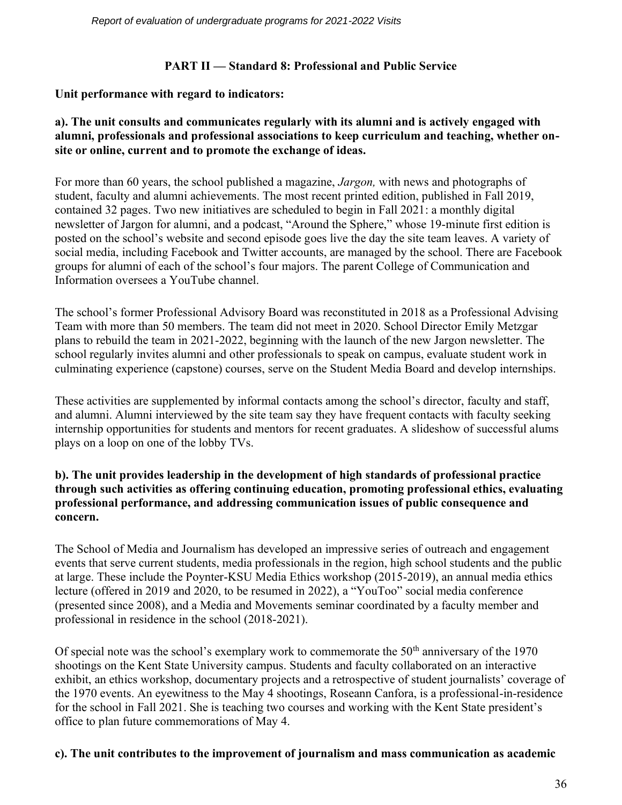# **PART II — Standard 8: Professional and Public Service**

# **Unit performance with regard to indicators:**

# **a). The unit consults and communicates regularly with its alumni and is actively engaged with alumni, professionals and professional associations to keep curriculum and teaching, whether onsite or online, current and to promote the exchange of ideas.**

For more than 60 years, the school published a magazine, *Jargon,* with news and photographs of student, faculty and alumni achievements. The most recent printed edition, published in Fall 2019, contained 32 pages. Two new initiatives are scheduled to begin in Fall 2021: a monthly digital newsletter of Jargon for alumni, and a podcast, "Around the Sphere," whose 19-minute first edition is posted on the school's website and second episode goes live the day the site team leaves. A variety of social media, including Facebook and Twitter accounts, are managed by the school. There are Facebook groups for alumni of each of the school's four majors. The parent College of Communication and Information oversees a YouTube channel.

The school's former Professional Advisory Board was reconstituted in 2018 as a Professional Advising Team with more than 50 members. The team did not meet in 2020. School Director Emily Metzgar plans to rebuild the team in 2021-2022, beginning with the launch of the new Jargon newsletter. The school regularly invites alumni and other professionals to speak on campus, evaluate student work in culminating experience (capstone) courses, serve on the Student Media Board and develop internships.

These activities are supplemented by informal contacts among the school's director, faculty and staff, and alumni. Alumni interviewed by the site team say they have frequent contacts with faculty seeking internship opportunities for students and mentors for recent graduates. A slideshow of successful alums plays on a loop on one of the lobby TVs.

# **b). The unit provides leadership in the development of high standards of professional practice through such activities as offering continuing education, promoting professional ethics, evaluating professional performance, and addressing communication issues of public consequence and concern.**

The School of Media and Journalism has developed an impressive series of outreach and engagement events that serve current students, media professionals in the region, high school students and the public at large. These include the Poynter-KSU Media Ethics workshop (2015-2019), an annual media ethics lecture (offered in 2019 and 2020, to be resumed in 2022), a "YouToo" social media conference (presented since 2008), and a Media and Movements seminar coordinated by a faculty member and professional in residence in the school (2018-2021).

Of special note was the school's exemplary work to commemorate the  $50<sup>th</sup>$  anniversary of the 1970 shootings on the Kent State University campus. Students and faculty collaborated on an interactive exhibit, an ethics workshop, documentary projects and a retrospective of student journalists' coverage of the 1970 events. An eyewitness to the May 4 shootings, Roseann Canfora, is a professional-in-residence for the school in Fall 2021. She is teaching two courses and working with the Kent State president's office to plan future commemorations of May 4.

## **c). The unit contributes to the improvement of journalism and mass communication as academic**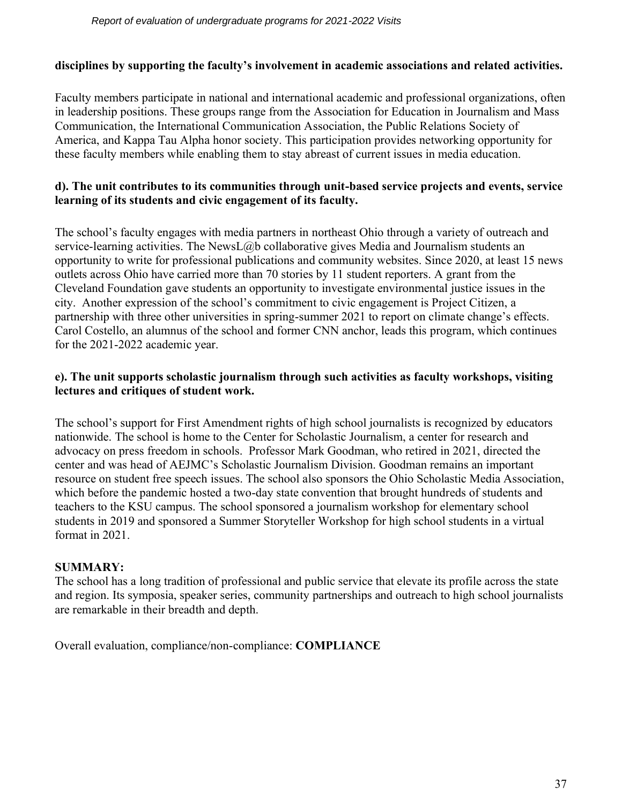## **disciplines by supporting the faculty's involvement in academic associations and related activities.**

Faculty members participate in national and international academic and professional organizations, often in leadership positions. These groups range from the Association for Education in Journalism and Mass Communication, the International Communication Association, the Public Relations Society of America, and Kappa Tau Alpha honor society. This participation provides networking opportunity for these faculty members while enabling them to stay abreast of current issues in media education.

# **d). The unit contributes to its communities through unit-based service projects and events, service learning of its students and civic engagement of its faculty.**

The school's faculty engages with media partners in northeast Ohio through a variety of outreach and service-learning activities. The NewsL@b collaborative gives Media and Journalism students an opportunity to write for professional publications and community websites. Since 2020, at least 15 news outlets across Ohio have carried more than 70 stories by 11 student reporters. A grant from the Cleveland Foundation gave students an opportunity to investigate environmental justice issues in the city. Another expression of the school's commitment to civic engagement is Project Citizen, a partnership with three other universities in spring-summer 2021 to report on climate change's effects. Carol Costello, an alumnus of the school and former CNN anchor, leads this program, which continues for the 2021-2022 academic year.

# **e). The unit supports scholastic journalism through such activities as faculty workshops, visiting lectures and critiques of student work.**

The school's support for First Amendment rights of high school journalists is recognized by educators nationwide. The school is home to the Center for Scholastic Journalism, a center for research and advocacy on press freedom in schools. Professor Mark Goodman, who retired in 2021, directed the center and was head of AEJMC's Scholastic Journalism Division. Goodman remains an important resource on student free speech issues. The school also sponsors the Ohio Scholastic Media Association, which before the pandemic hosted a two-day state convention that brought hundreds of students and teachers to the KSU campus. The school sponsored a journalism workshop for elementary school students in 2019 and sponsored a Summer Storyteller Workshop for high school students in a virtual format in 2021.

## **SUMMARY:**

The school has a long tradition of professional and public service that elevate its profile across the state and region. Its symposia, speaker series, community partnerships and outreach to high school journalists are remarkable in their breadth and depth.

Overall evaluation, compliance/non-compliance: **COMPLIANCE**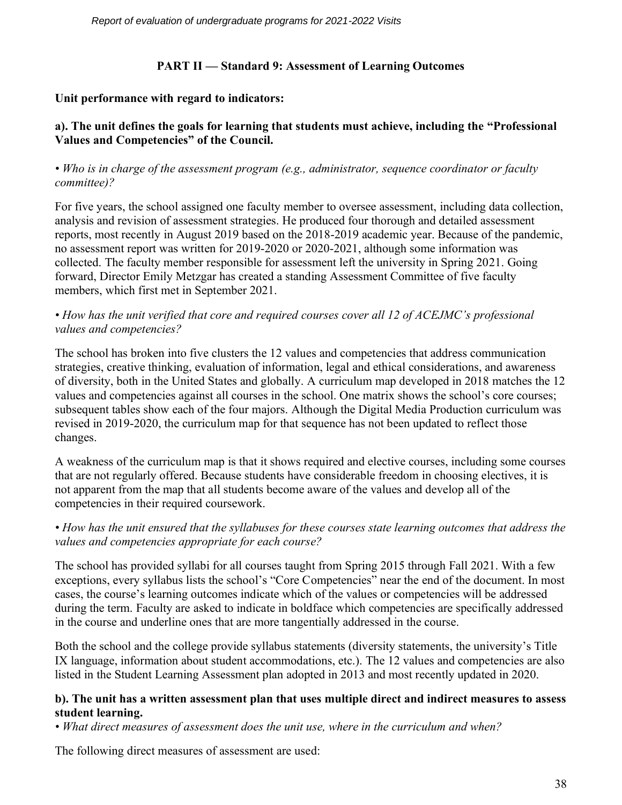*Report of evaluation of undergraduate programs for 2021-2022 Visits* 

# **PART II — Standard 9: Assessment of Learning Outcomes**

# **Unit performance with regard to indicators:**

# **a). The unit defines the goals for learning that students must achieve, including the "Professional Values and Competencies" of the Council.**

#### *• Who is in charge of the assessment program (e.g., administrator, sequence coordinator or faculty committee)?*

For five years, the school assigned one faculty member to oversee assessment, including data collection, analysis and revision of assessment strategies. He produced four thorough and detailed assessment reports, most recently in August 2019 based on the 2018-2019 academic year. Because of the pandemic, no assessment report was written for 2019-2020 or 2020-2021, although some information was collected. The faculty member responsible for assessment left the university in Spring 2021. Going forward, Director Emily Metzgar has created a standing Assessment Committee of five faculty members, which first met in September 2021.

## *• How has the unit verified that core and required courses cover all 12 of ACEJMC's professional values and competencies?*

The school has broken into five clusters the 12 values and competencies that address communication strategies, creative thinking, evaluation of information, legal and ethical considerations, and awareness of diversity, both in the United States and globally. A curriculum map developed in 2018 matches the 12 values and competencies against all courses in the school. One matrix shows the school's core courses; subsequent tables show each of the four majors. Although the Digital Media Production curriculum was revised in 2019-2020, the curriculum map for that sequence has not been updated to reflect those changes.

A weakness of the curriculum map is that it shows required and elective courses, including some courses that are not regularly offered. Because students have considerable freedom in choosing electives, it is not apparent from the map that all students become aware of the values and develop all of the competencies in their required coursework.

## *• How has the unit ensured that the syllabuses for these courses state learning outcomes that address the values and competencies appropriate for each course?*

The school has provided syllabi for all courses taught from Spring 2015 through Fall 2021. With a few exceptions, every syllabus lists the school's "Core Competencies" near the end of the document. In most cases, the course's learning outcomes indicate which of the values or competencies will be addressed during the term. Faculty are asked to indicate in boldface which competencies are specifically addressed in the course and underline ones that are more tangentially addressed in the course.

Both the school and the college provide syllabus statements (diversity statements, the university's Title IX language, information about student accommodations, etc.). The 12 values and competencies are also listed in the Student Learning Assessment plan adopted in 2013 and most recently updated in 2020.

#### **b). The unit has a written assessment plan that uses multiple direct and indirect measures to assess student learning.**

*• What direct measures of assessment does the unit use, where in the curriculum and when?*

The following direct measures of assessment are used: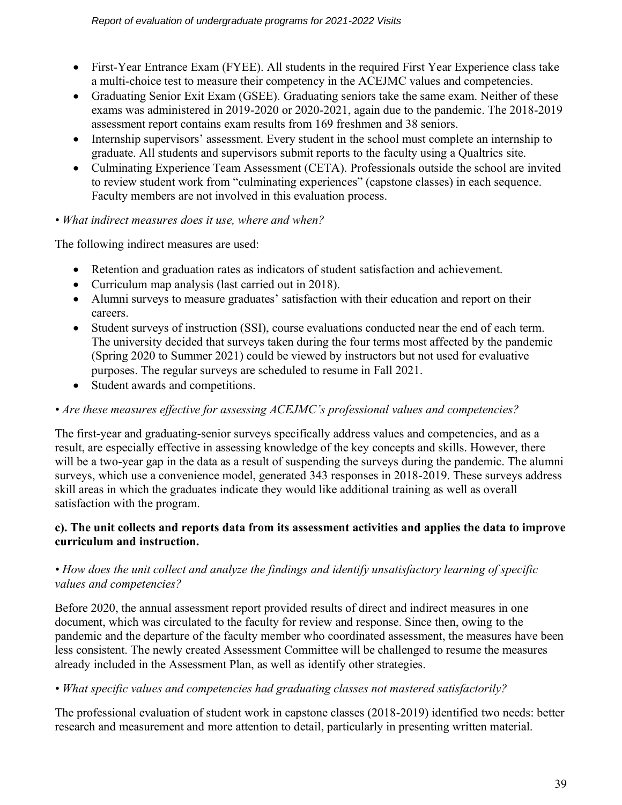- First-Year Entrance Exam (FYEE). All students in the required First Year Experience class take a multi-choice test to measure their competency in the ACEJMC values and competencies.
- Graduating Senior Exit Exam (GSEE). Graduating seniors take the same exam. Neither of these exams was administered in 2019-2020 or 2020-2021, again due to the pandemic. The 2018-2019 assessment report contains exam results from 169 freshmen and 38 seniors.
- Internship supervisors' assessment. Every student in the school must complete an internship to graduate. All students and supervisors submit reports to the faculty using a Qualtrics site.
- Culminating Experience Team Assessment (CETA). Professionals outside the school are invited to review student work from "culminating experiences" (capstone classes) in each sequence. Faculty members are not involved in this evaluation process.

# *• What indirect measures does it use, where and when?*

The following indirect measures are used:

- Retention and graduation rates as indicators of student satisfaction and achievement.
- Curriculum map analysis (last carried out in 2018).
- Alumni surveys to measure graduates' satisfaction with their education and report on their careers.
- Student surveys of instruction (SSI), course evaluations conducted near the end of each term. The university decided that surveys taken during the four terms most affected by the pandemic (Spring 2020 to Summer 2021) could be viewed by instructors but not used for evaluative purposes. The regular surveys are scheduled to resume in Fall 2021.
- Student awards and competitions.

# *• Are these measures effective for assessing ACEJMC's professional values and competencies?*

The first-year and graduating-senior surveys specifically address values and competencies, and as a result, are especially effective in assessing knowledge of the key concepts and skills. However, there will be a two-year gap in the data as a result of suspending the surveys during the pandemic. The alumni surveys, which use a convenience model, generated 343 responses in 2018-2019. These surveys address skill areas in which the graduates indicate they would like additional training as well as overall satisfaction with the program.

# **c). The unit collects and reports data from its assessment activities and applies the data to improve curriculum and instruction.**

# *• How does the unit collect and analyze the findings and identify unsatisfactory learning of specific values and competencies?*

Before 2020, the annual assessment report provided results of direct and indirect measures in one document, which was circulated to the faculty for review and response. Since then, owing to the pandemic and the departure of the faculty member who coordinated assessment, the measures have been less consistent. The newly created Assessment Committee will be challenged to resume the measures already included in the Assessment Plan, as well as identify other strategies.

# *• What specific values and competencies had graduating classes not mastered satisfactorily?*

The professional evaluation of student work in capstone classes (2018-2019) identified two needs: better research and measurement and more attention to detail, particularly in presenting written material.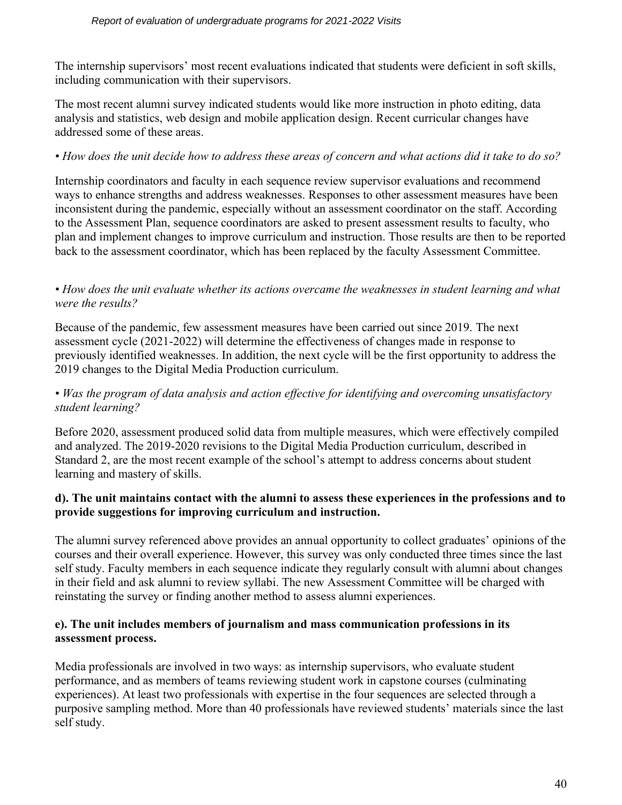The internship supervisors' most recent evaluations indicated that students were deficient in soft skills, including communication with their supervisors.

The most recent alumni survey indicated students would like more instruction in photo editing, data analysis and statistics, web design and mobile application design. Recent curricular changes have addressed some of these areas.

#### *• How does the unit decide how to address these areas of concern and what actions did it take to do so?*

Internship coordinators and faculty in each sequence review supervisor evaluations and recommend ways to enhance strengths and address weaknesses. Responses to other assessment measures have been inconsistent during the pandemic, especially without an assessment coordinator on the staff. According to the Assessment Plan, sequence coordinators are asked to present assessment results to faculty, who plan and implement changes to improve curriculum and instruction. Those results are then to be reported back to the assessment coordinator, which has been replaced by the faculty Assessment Committee.

#### *• How does the unit evaluate whether its actions overcame the weaknesses in student learning and what were the results?*

Because of the pandemic, few assessment measures have been carried out since 2019. The next assessment cycle (2021-2022) will determine the effectiveness of changes made in response to previously identified weaknesses. In addition, the next cycle will be the first opportunity to address the 2019 changes to the Digital Media Production curriculum.

## *• Was the program of data analysis and action effective for identifying and overcoming unsatisfactory student learning?*

Before 2020, assessment produced solid data from multiple measures, which were effectively compiled and analyzed. The 2019-2020 revisions to the Digital Media Production curriculum, described in Standard 2, are the most recent example of the school's attempt to address concerns about student learning and mastery of skills.

#### **d). The unit maintains contact with the alumni to assess these experiences in the professions and to provide suggestions for improving curriculum and instruction.**

The alumni survey referenced above provides an annual opportunity to collect graduates' opinions of the courses and their overall experience. However, this survey was only conducted three times since the last self study. Faculty members in each sequence indicate they regularly consult with alumni about changes in their field and ask alumni to review syllabi. The new Assessment Committee will be charged with reinstating the survey or finding another method to assess alumni experiences.

## **e). The unit includes members of journalism and mass communication professions in its assessment process.**

Media professionals are involved in two ways: as internship supervisors, who evaluate student performance, and as members of teams reviewing student work in capstone courses (culminating experiences). At least two professionals with expertise in the four sequences are selected through a purposive sampling method. More than 40 professionals have reviewed students' materials since the last self study.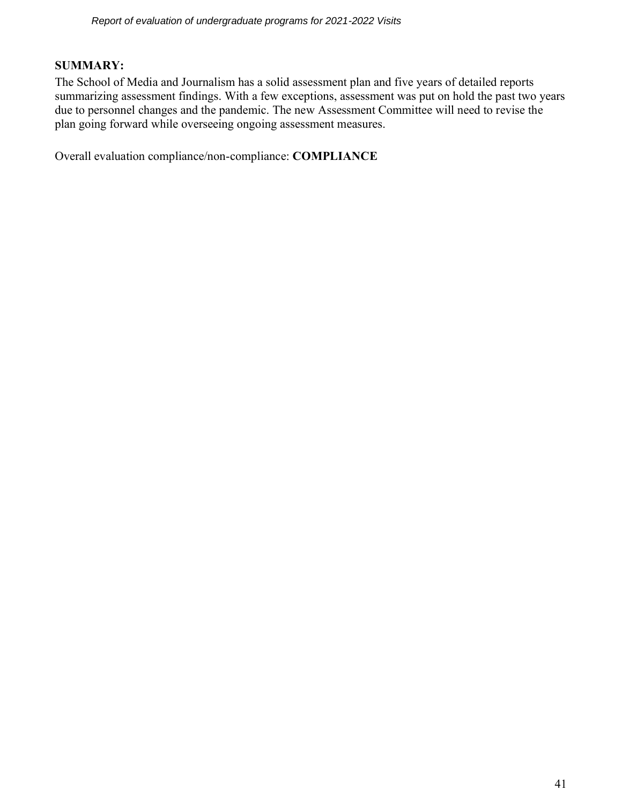#### **SUMMARY:**

The School of Media and Journalism has a solid assessment plan and five years of detailed reports summarizing assessment findings. With a few exceptions, assessment was put on hold the past two years due to personnel changes and the pandemic. The new Assessment Committee will need to revise the plan going forward while overseeing ongoing assessment measures.

Overall evaluation compliance/non-compliance: **COMPLIANCE**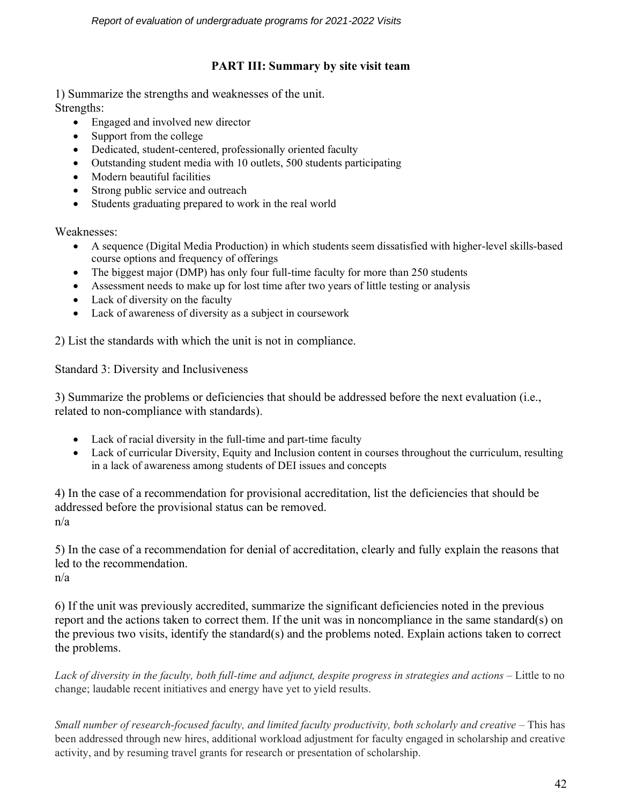# **PART III: Summary by site visit team**

1) Summarize the strengths and weaknesses of the unit.

Strengths:

- Engaged and involved new director
- Support from the college
- Dedicated, student-centered, professionally oriented faculty
- Outstanding student media with 10 outlets, 500 students participating
- Modern beautiful facilities
- Strong public service and outreach
- Students graduating prepared to work in the real world

Weaknesses:

- A sequence (Digital Media Production) in which students seem dissatisfied with higher-level skills-based course options and frequency of offerings
- The biggest major (DMP) has only four full-time faculty for more than 250 students
- Assessment needs to make up for lost time after two years of little testing or analysis
- Lack of diversity on the faculty
- Lack of awareness of diversity as a subject in coursework

2) List the standards with which the unit is not in compliance.

Standard 3: Diversity and Inclusiveness

3) Summarize the problems or deficiencies that should be addressed before the next evaluation (i.e., related to non-compliance with standards).

- Lack of racial diversity in the full-time and part-time faculty
- Lack of curricular Diversity, Equity and Inclusion content in courses throughout the curriculum, resulting in a lack of awareness among students of DEI issues and concepts

4) In the case of a recommendation for provisional accreditation, list the deficiencies that should be addressed before the provisional status can be removed. n/a

5) In the case of a recommendation for denial of accreditation, clearly and fully explain the reasons that led to the recommendation.

n/a

6) If the unit was previously accredited, summarize the significant deficiencies noted in the previous report and the actions taken to correct them. If the unit was in noncompliance in the same standard(s) on the previous two visits, identify the standard(s) and the problems noted. Explain actions taken to correct the problems.

*Lack of diversity in the faculty, both full-time and adjunct, despite progress in strategies and actions* – Little to no change; laudable recent initiatives and energy have yet to yield results.

*Small number of research-focused faculty, and limited faculty productivity, both scholarly and creative* – This has been addressed through new hires, additional workload adjustment for faculty engaged in scholarship and creative activity, and by resuming travel grants for research or presentation of scholarship.